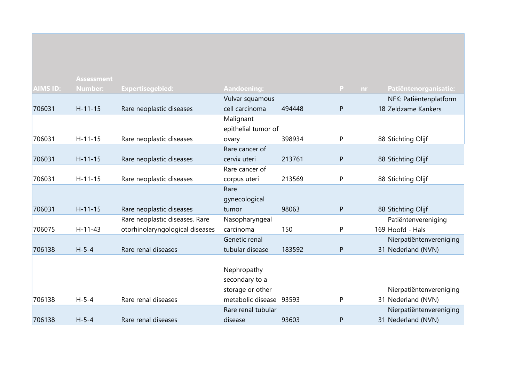|          | <b>Assessment</b> |                                 |                         |        |              |                         |
|----------|-------------------|---------------------------------|-------------------------|--------|--------------|-------------------------|
| AIMS ID: | <b>Number:</b>    | <b>Expertisegebied:</b>         | Aandoening:             |        | P.<br>nr.    | Patiëntenorganisatie:   |
|          |                   |                                 | Vulvar squamous         |        |              | NFK: Patiëntenplatform  |
| 706031   | $H - 11 - 15$     | Rare neoplastic diseases        | cell carcinoma          | 494448 | P            | 18 Zeldzame Kankers     |
|          |                   |                                 | Malignant               |        |              |                         |
|          |                   |                                 | epithelial tumor of     |        |              |                         |
| 706031   | $H-11-15$         | Rare neoplastic diseases        | ovary                   | 398934 | P            | 88 Stichting Olijf      |
|          |                   |                                 | Rare cancer of          |        |              |                         |
| 706031   | $H - 11 - 15$     | Rare neoplastic diseases        | cervix uteri            | 213761 | $\mathsf{P}$ | 88 Stichting Olijf      |
|          |                   |                                 | Rare cancer of          |        |              |                         |
| 706031   | $H-11-15$         | Rare neoplastic diseases        | corpus uteri            | 213569 | P            | 88 Stichting Olijf      |
|          |                   |                                 | Rare                    |        |              |                         |
|          |                   |                                 | gynecological           |        |              |                         |
| 706031   | $H - 11 - 15$     | Rare neoplastic diseases        | tumor                   | 98063  | $\mathsf{P}$ | 88 Stichting Olijf      |
|          |                   | Rare neoplastic diseases, Rare  | Nasopharyngeal          |        |              | Patiëntenvereniging     |
| 706075   | $H-11-43$         | otorhinolaryngological diseases | carcinoma               | 150    | P            | 169 Hoofd - Hals        |
|          |                   |                                 | Genetic renal           |        |              | Nierpatiëntenvereniging |
| 706138   | $H - 5 - 4$       | Rare renal diseases             | tubular disease         | 183592 | $\mathsf{P}$ | 31 Nederland (NVN)      |
|          |                   |                                 |                         |        |              |                         |
|          |                   |                                 | Nephropathy             |        |              |                         |
|          |                   |                                 | secondary to a          |        |              |                         |
|          |                   |                                 | storage or other        |        |              | Nierpatiëntenvereniging |
| 706138   | $H - 5 - 4$       | Rare renal diseases             | metabolic disease 93593 |        | P            | 31 Nederland (NVN)      |
|          |                   |                                 | Rare renal tubular      |        |              | Nierpatiëntenvereniging |
| 706138   | $H - 5 - 4$       | Rare renal diseases             | disease                 | 93603  | P            | 31 Nederland (NVN)      |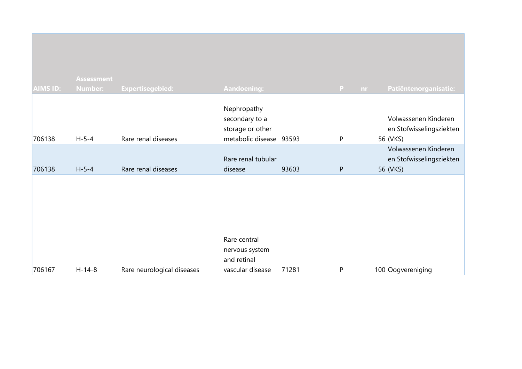| <b>AIMS ID:</b> | <b>Assessment</b><br>Number: | <b>Expertisegebied:</b>    | Aandoening:                                                                  |       | P.<br>nr.    | Patiëntenorganisatie:                                        |
|-----------------|------------------------------|----------------------------|------------------------------------------------------------------------------|-------|--------------|--------------------------------------------------------------|
| 706138          | $H - 5 - 4$                  | Rare renal diseases        | Nephropathy<br>secondary to a<br>storage or other<br>metabolic disease 93593 |       | $\mathsf{P}$ | Volwassenen Kinderen<br>en Stofwisselingsziekten<br>56 (VKS) |
| 706138          | $H - 5 - 4$                  | Rare renal diseases        | Rare renal tubular<br>disease                                                | 93603 | ${\sf P}$    | Volwassenen Kinderen<br>en Stofwisselingsziekten<br>56 (VKS) |
|                 |                              |                            | Rare central                                                                 |       |              |                                                              |
| 706167          | $H-14-8$                     | Rare neurological diseases | nervous system<br>and retinal<br>vascular disease                            | 71281 | P            | 100 Oogvereniging                                            |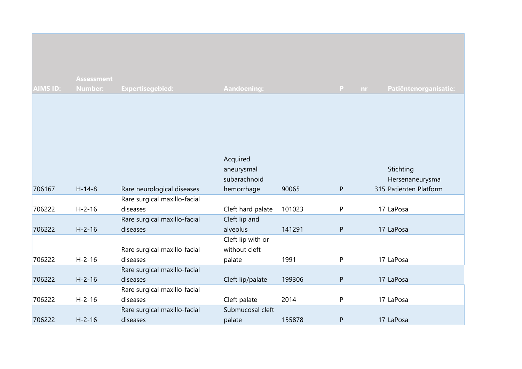|                 | <b>Assessment</b> |                                          |                                                      |        |           |                                                        |
|-----------------|-------------------|------------------------------------------|------------------------------------------------------|--------|-----------|--------------------------------------------------------|
| <b>AIMS ID:</b> | <b>Number:</b>    | Expertisegebied:                         | Aandoening:                                          |        | P<br>nr.  | Patiëntenorganisatie:                                  |
| 706167          | $H-14-8$          | Rare neurological diseases               | Acquired<br>aneurysmal<br>subarachnoid<br>hemorrhage | 90065  | P         | Stichting<br>Hersenaneurysma<br>315 Patiënten Platform |
|                 |                   | Rare surgical maxillo-facial             |                                                      |        |           |                                                        |
| 706222          | $H - 2 - 16$      | diseases                                 | Cleft hard palate                                    | 101023 | P         | 17 LaPosa                                              |
| 706222          | $H - 2 - 16$      | Rare surgical maxillo-facial<br>diseases | Cleft lip and<br>alveolus                            | 141291 | ${\sf P}$ | 17 LaPosa                                              |
| 706222          | $H - 2 - 16$      | Rare surgical maxillo-facial<br>diseases | Cleft lip with or<br>without cleft<br>palate         | 1991   | P         | 17 LaPosa                                              |
| 706222          | $H - 2 - 16$      | Rare surgical maxillo-facial<br>diseases | Cleft lip/palate                                     | 199306 | P         | 17 LaPosa                                              |
| 706222          | $H - 2 - 16$      | Rare surgical maxillo-facial<br>diseases | Cleft palate                                         | 2014   | P         | 17 LaPosa                                              |
| 706222          | $H - 2 - 16$      | Rare surgical maxillo-facial<br>diseases | Submucosal cleft<br>palate                           | 155878 | ${\sf P}$ | 17 LaPosa                                              |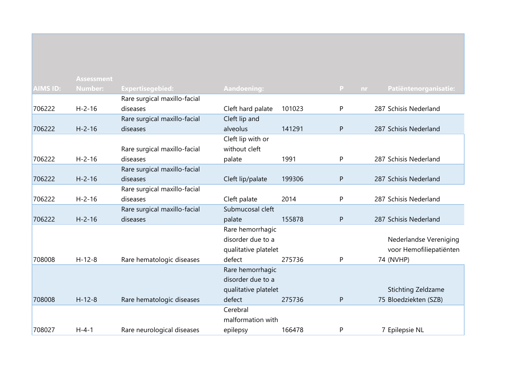|                 | <b>Assessment</b> |                              |                      |        |          |                         |
|-----------------|-------------------|------------------------------|----------------------|--------|----------|-------------------------|
| <b>AIMS ID:</b> | <b>Number:</b>    | <b>Expertisegebied:</b>      | <b>Aandoening:</b>   |        | P<br>nr. | Patiëntenorganisatie:   |
|                 |                   | Rare surgical maxillo-facial |                      |        |          |                         |
| 706222          | $H - 2 - 16$      | diseases                     | Cleft hard palate    | 101023 | P        | 287 Schisis Nederland   |
|                 |                   | Rare surgical maxillo-facial | Cleft lip and        |        |          |                         |
| 706222          | $H - 2 - 16$      | diseases                     | alveolus             | 141291 | P        | 287 Schisis Nederland   |
|                 |                   |                              | Cleft lip with or    |        |          |                         |
|                 |                   | Rare surgical maxillo-facial | without cleft        |        |          |                         |
| 706222          | $H - 2 - 16$      | diseases                     | palate               | 1991   | P        | 287 Schisis Nederland   |
|                 |                   | Rare surgical maxillo-facial |                      |        |          |                         |
| 706222          | $H - 2 - 16$      | diseases                     | Cleft lip/palate     | 199306 | P        | 287 Schisis Nederland   |
|                 |                   | Rare surgical maxillo-facial |                      |        |          |                         |
| 706222          | $H - 2 - 16$      | diseases                     | Cleft palate         | 2014   | P        | 287 Schisis Nederland   |
|                 |                   | Rare surgical maxillo-facial | Submucosal cleft     |        |          |                         |
| 706222          | $H - 2 - 16$      | diseases                     | palate               | 155878 | P        | 287 Schisis Nederland   |
|                 |                   |                              | Rare hemorrhagic     |        |          |                         |
|                 |                   |                              | disorder due to a    |        |          | Nederlandse Vereniging  |
|                 |                   |                              | qualitative platelet |        |          | voor Hemofiliepatiënten |
| 708008          | $H - 12 - 8$      | Rare hematologic diseases    | defect               | 275736 | P        | 74 (NVHP)               |
|                 |                   |                              | Rare hemorrhagic     |        |          |                         |
|                 |                   |                              | disorder due to a    |        |          |                         |
|                 |                   |                              | qualitative platelet |        |          | Stichting Zeldzame      |
| 708008          | $H - 12 - 8$      | Rare hematologic diseases    | defect               | 275736 | P        | 75 Bloedziekten (SZB)   |
|                 |                   |                              | Cerebral             |        |          |                         |
|                 |                   |                              | malformation with    |        |          |                         |
| 708027          | $H - 4 - 1$       | Rare neurological diseases   | epilepsy             | 166478 | P        | 7 Epilepsie NL          |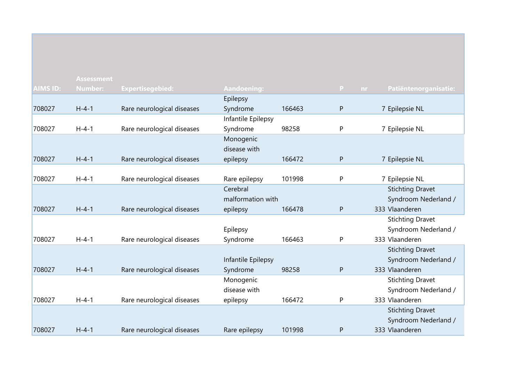|                 | <b>Assessment</b> |                            |                    |        |              |                         |
|-----------------|-------------------|----------------------------|--------------------|--------|--------------|-------------------------|
| <b>AIMS ID:</b> | <b>Number:</b>    | Expertisegebied:           | Aandoening:        |        | P.<br>nr.    | Patiëntenorganisatie:   |
|                 |                   |                            | Epilepsy           |        |              |                         |
| 708027          | $H - 4 - 1$       | Rare neurological diseases | Syndrome           | 166463 | P            | 7 Epilepsie NL          |
|                 |                   |                            | Infantile Epilepsy |        |              |                         |
| 708027          | $H - 4 - 1$       | Rare neurological diseases | Syndrome           | 98258  | P            | 7 Epilepsie NL          |
|                 |                   |                            | Monogenic          |        |              |                         |
|                 |                   |                            | disease with       |        |              |                         |
| 708027          | $H - 4 - 1$       | Rare neurological diseases | epilepsy           | 166472 | $\mathsf{P}$ | 7 Epilepsie NL          |
|                 |                   |                            |                    |        |              |                         |
| 708027          | $H - 4 - 1$       | Rare neurological diseases | Rare epilepsy      | 101998 | P            | 7 Epilepsie NL          |
|                 |                   |                            | Cerebral           |        |              | <b>Stichting Dravet</b> |
|                 |                   |                            | malformation with  |        |              | Syndroom Nederland /    |
| 708027          | $H - 4 - 1$       | Rare neurological diseases | epilepsy           | 166478 | P            | 333 Vlaanderen          |
|                 |                   |                            |                    |        |              | <b>Stichting Dravet</b> |
|                 |                   |                            | Epilepsy           |        |              | Syndroom Nederland /    |
| 708027          | $H - 4 - 1$       | Rare neurological diseases | Syndrome           | 166463 | P            | 333 Vlaanderen          |
|                 |                   |                            |                    |        |              | <b>Stichting Dravet</b> |
|                 |                   |                            | Infantile Epilepsy |        |              | Syndroom Nederland /    |
| 708027          | $H - 4 - 1$       | Rare neurological diseases | Syndrome           | 98258  | P            | 333 Vlaanderen          |
|                 |                   |                            | Monogenic          |        |              | <b>Stichting Dravet</b> |
|                 |                   |                            | disease with       |        |              | Syndroom Nederland /    |
| 708027          | $H - 4 - 1$       | Rare neurological diseases | epilepsy           | 166472 | P            | 333 Vlaanderen          |
|                 |                   |                            |                    |        |              | <b>Stichting Dravet</b> |
|                 |                   |                            |                    |        |              | Syndroom Nederland /    |
| 708027          | $H - 4 - 1$       | Rare neurological diseases | Rare epilepsy      | 101998 | P            | 333 Vlaanderen          |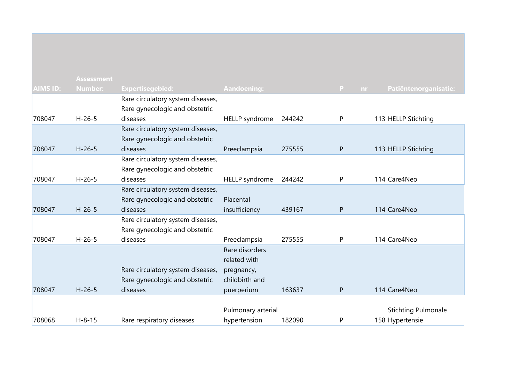|                 | <b>Assessment</b> |                                   |                       |        |                     |                            |
|-----------------|-------------------|-----------------------------------|-----------------------|--------|---------------------|----------------------------|
| <b>AIMS ID:</b> | <b>Number:</b>    | Expertisegebied:                  | <b>Aandoening:</b>    |        | $\mathbf{P}$<br>nr. | Patiëntenorganisatie:      |
|                 |                   | Rare circulatory system diseases, |                       |        |                     |                            |
|                 |                   | Rare gynecologic and obstetric    |                       |        |                     |                            |
| 708047          | $H - 26 - 5$      | diseases                          | <b>HELLP</b> syndrome | 244242 | P                   | 113 HELLP Stichting        |
|                 |                   | Rare circulatory system diseases, |                       |        |                     |                            |
|                 |                   | Rare gynecologic and obstetric    |                       |        |                     |                            |
| 708047          | $H - 26 - 5$      | diseases                          | Preeclampsia          | 275555 | P                   | 113 HELLP Stichting        |
|                 |                   | Rare circulatory system diseases, |                       |        |                     |                            |
|                 |                   | Rare gynecologic and obstetric    |                       |        |                     |                            |
| 708047          | $H - 26 - 5$      | diseases                          | <b>HELLP</b> syndrome | 244242 | P                   | 114 Care4Neo               |
|                 |                   | Rare circulatory system diseases, |                       |        |                     |                            |
|                 |                   | Rare gynecologic and obstetric    | Placental             |        |                     |                            |
| 708047          | $H-26-5$          | diseases                          | insufficiency         | 439167 | P                   | 114 Care4Neo               |
|                 |                   | Rare circulatory system diseases, |                       |        |                     |                            |
|                 |                   | Rare gynecologic and obstetric    |                       |        |                     |                            |
| 708047          | $H - 26 - 5$      | diseases                          | Preeclampsia          | 275555 | P                   | 114 Care4Neo               |
|                 |                   |                                   | Rare disorders        |        |                     |                            |
|                 |                   |                                   | related with          |        |                     |                            |
|                 |                   | Rare circulatory system diseases, | pregnancy,            |        |                     |                            |
|                 |                   | Rare gynecologic and obstetric    | childbirth and        |        |                     |                            |
| 708047          | $H - 26 - 5$      | diseases                          | puerperium            | 163637 | ${\sf P}$           | 114 Care4Neo               |
|                 |                   |                                   |                       |        |                     |                            |
|                 |                   |                                   | Pulmonary arterial    |        |                     | <b>Stichting Pulmonale</b> |
| 708068          | $H - 8 - 15$      | Rare respiratory diseases         | hypertension          | 182090 | P                   | 158 Hypertensie            |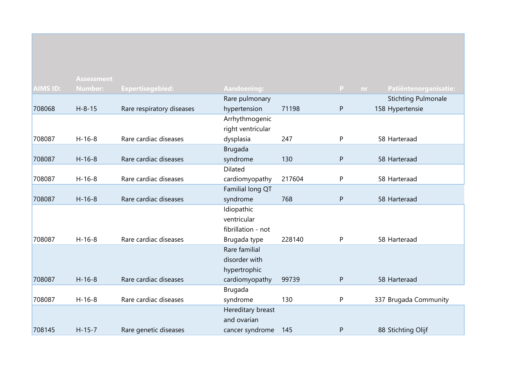|                 | <b>Assessment</b> |                           |                    |        |              |                              |
|-----------------|-------------------|---------------------------|--------------------|--------|--------------|------------------------------|
| <b>AIMS ID:</b> | <b>Number:</b>    | <b>Expertisegebied:</b>   | Aandoening:        |        | $\mathbf{P}$ | Patiëntenorganisatie:<br>nr. |
|                 |                   |                           | Rare pulmonary     |        |              | <b>Stichting Pulmonale</b>   |
| 708068          | $H - 8 - 15$      | Rare respiratory diseases | hypertension       | 71198  | ${\sf P}$    | 158 Hypertensie              |
|                 |                   |                           | Arrhythmogenic     |        |              |                              |
|                 |                   |                           | right ventricular  |        |              |                              |
| 708087          | $H-16-8$          | Rare cardiac diseases     | dysplasia          | 247    | ${\sf P}$    | 58 Harteraad                 |
|                 |                   |                           | <b>Brugada</b>     |        |              |                              |
| 708087          | $H-16-8$          | Rare cardiac diseases     | syndrome           | 130    | ${\sf P}$    | 58 Harteraad                 |
|                 |                   |                           | Dilated            |        |              |                              |
| 708087          | $H-16-8$          | Rare cardiac diseases     | cardiomyopathy     | 217604 | P            | 58 Harteraad                 |
|                 |                   |                           | Familial long QT   |        |              |                              |
| 708087          | $H-16-8$          | Rare cardiac diseases     | syndrome           | 768    | ${\sf P}$    | 58 Harteraad                 |
|                 |                   |                           | Idiopathic         |        |              |                              |
|                 |                   |                           | ventricular        |        |              |                              |
|                 |                   |                           | fibrillation - not |        |              |                              |
| 708087          | $H-16-8$          | Rare cardiac diseases     | Brugada type       | 228140 | P            | 58 Harteraad                 |
|                 |                   |                           | Rare familial      |        |              |                              |
|                 |                   |                           | disorder with      |        |              |                              |
|                 |                   |                           | hypertrophic       |        |              |                              |
| 708087          | $H-16-8$          | Rare cardiac diseases     | cardiomyopathy     | 99739  | P            | 58 Harteraad                 |
|                 |                   |                           | <b>Brugada</b>     |        |              |                              |
| 708087          | $H-16-8$          | Rare cardiac diseases     | syndrome           | 130    | P            | 337 Brugada Community        |
|                 |                   |                           | Hereditary breast  |        |              |                              |
|                 |                   |                           | and ovarian        |        |              |                              |
| 708145          | $H-15-7$          | Rare genetic diseases     | cancer syndrome    | 145    | P            | 88 Stichting Olijf           |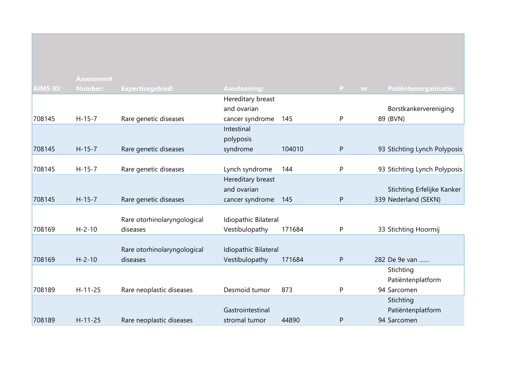|                 | <b>Assessment</b> |                             |                      |        |                    |                                  |
|-----------------|-------------------|-----------------------------|----------------------|--------|--------------------|----------------------------------|
| <b>AIMS ID:</b> | <b>Number:</b>    | <b>Expertisegebied:</b>     | Aandoening:          |        | $\mathbf{P}$<br>nr | Patiëntenorganisatie:            |
|                 |                   |                             | Hereditary breast    |        |                    |                                  |
|                 |                   |                             | and ovarian          |        |                    | Borstkankervereniging            |
| 708145          | $H-15-7$          | Rare genetic diseases       | cancer syndrome      | 145    | P                  | 89 (BVN)                         |
|                 |                   |                             | Intestinal           |        |                    |                                  |
|                 |                   |                             | polyposis            |        |                    |                                  |
| 708145          | $H-15-7$          | Rare genetic diseases       | syndrome             | 104010 | P                  | 93 Stichting Lynch Polyposis     |
|                 |                   |                             |                      |        |                    |                                  |
| 708145          | $H - 15 - 7$      | Rare genetic diseases       | Lynch syndrome       | 144    | P                  | 93 Stichting Lynch Polyposis     |
|                 |                   |                             | Hereditary breast    |        |                    |                                  |
|                 |                   |                             | and ovarian          |        |                    | Stichting Erfelijke Kanker       |
| 708145          | $H-15-7$          | Rare genetic diseases       | cancer syndrome      | 145    | $\mathsf{P}$       | 339 Nederland (SEKN)             |
|                 |                   |                             |                      |        |                    |                                  |
|                 |                   | Rare otorhinolaryngological | Idiopathic Bilateral |        |                    |                                  |
| 708169          | $H - 2 - 10$      | diseases                    | Vestibulopathy       | 171684 | P                  | 33 Stichting Hoormij             |
|                 |                   |                             |                      |        |                    |                                  |
| 708169          | $H - 2 - 10$      | Rare otorhinolaryngological | Idiopathic Bilateral | 171684 |                    | 282 De 9e van                    |
|                 |                   | diseases                    | Vestibulopathy       |        | $\mathsf{P}$       |                                  |
|                 |                   |                             |                      |        |                    | Stichting                        |
|                 | $H - 11 - 25$     |                             | Desmoid tumor        | 873    |                    | Patiëntenplatform<br>94 Sarcomen |
| 708189          |                   | Rare neoplastic diseases    |                      |        | P                  |                                  |
|                 |                   |                             | Gastrointestinal     |        |                    | Stichting                        |
| 708189          | $H - 11 - 25$     |                             |                      | 44890  |                    | Patiëntenplatform<br>94 Sarcomen |
|                 |                   | Rare neoplastic diseases    | stromal tumor        |        | $\mathsf{P}$       |                                  |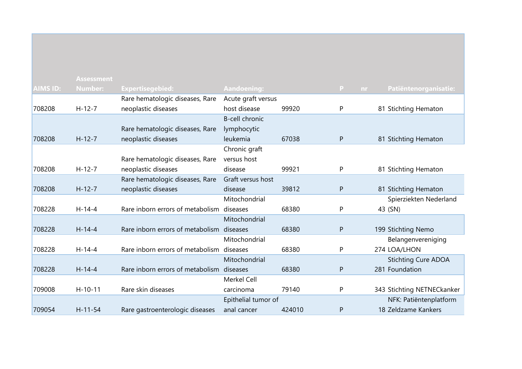|                 | <b>Assessment</b> |                                           |                       |        |           |                            |
|-----------------|-------------------|-------------------------------------------|-----------------------|--------|-----------|----------------------------|
| <b>AIMS ID:</b> | <b>Number:</b>    | <b>Expertisegebied:</b>                   | Aandoening:           |        | P.<br>nr. | Patiëntenorganisatie:      |
|                 |                   | Rare hematologic diseases, Rare           | Acute graft versus    |        |           |                            |
| 708208          | $H - 12 - 7$      | neoplastic diseases                       | host disease          | 99920  | P         | 81 Stichting Hematon       |
|                 |                   |                                           | <b>B-cell chronic</b> |        |           |                            |
|                 |                   | Rare hematologic diseases, Rare           | lymphocytic           |        |           |                            |
| 708208          | $H-12-7$          | neoplastic diseases                       | leukemia              | 67038  | $\sf P$   | 81 Stichting Hematon       |
|                 |                   |                                           | Chronic graft         |        |           |                            |
|                 |                   | Rare hematologic diseases, Rare           | versus host           |        |           |                            |
| 708208          | $H - 12 - 7$      | neoplastic diseases                       | disease               | 99921  | P         | 81 Stichting Hematon       |
|                 |                   | Rare hematologic diseases, Rare           | Graft versus host     |        |           |                            |
| 708208          | $H-12-7$          | neoplastic diseases                       | disease               | 39812  | P         | 81 Stichting Hematon       |
|                 |                   |                                           | Mitochondrial         |        |           | Spierziekten Nederland     |
| 708228          | $H - 14 - 4$      | Rare inborn errors of metabolism diseases |                       | 68380  | P         | 43 (SN)                    |
|                 |                   |                                           | Mitochondrial         |        |           |                            |
| 708228          | $H-14-4$          | Rare inborn errors of metabolism diseases |                       | 68380  | P         | 199 Stichting Nemo         |
|                 |                   |                                           | Mitochondrial         |        |           | Belangenvereniging         |
| 708228          | $H - 14 - 4$      | Rare inborn errors of metabolism diseases |                       | 68380  | P         | 274 LOA/LHON               |
|                 |                   |                                           | Mitochondrial         |        |           | <b>Stichting Cure ADOA</b> |
| 708228          | $H-14-4$          | Rare inborn errors of metabolism diseases |                       | 68380  | ${\sf P}$ | 281 Foundation             |
|                 |                   |                                           | <b>Merkel Cell</b>    |        |           |                            |
| 709008          | $H-10-11$         | Rare skin diseases                        | carcinoma             | 79140  | P         | 343 Stichting NETNECkanker |
|                 |                   |                                           | Epithelial tumor of   |        |           | NFK: Patiëntenplatform     |
| 709054          | $H - 11 - 54$     | Rare gastroenterologic diseases           | anal cancer           | 424010 | P         | 18 Zeldzame Kankers        |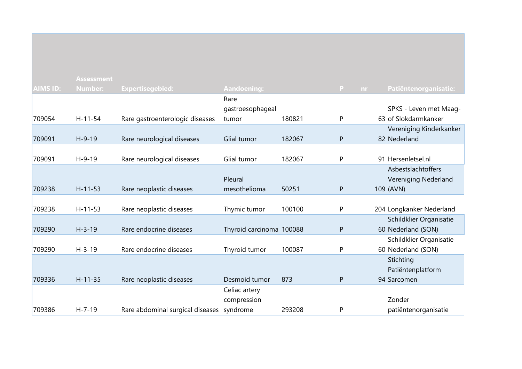|                 | <b>Assessment</b> |                                  |                          |        |   |                                    |
|-----------------|-------------------|----------------------------------|--------------------------|--------|---|------------------------------------|
| <b>AIMS ID:</b> | <b>Number:</b>    | <b>Expertisegebied:</b>          | Aandoening:              |        | P | Patiëntenorganisatie:<br><b>nr</b> |
|                 |                   |                                  | Rare                     |        |   |                                    |
|                 |                   |                                  | gastroesophageal         |        |   | SPKS - Leven met Maag-             |
| 709054          | $H - 11 - 54$     | Rare gastroenterologic diseases  | tumor                    | 180821 | P | 63 of Slokdarmkanker               |
|                 |                   |                                  |                          |        |   | Vereniging Kinderkanker            |
| 709091          | $H - 9 - 19$      | Rare neurological diseases       | Glial tumor              | 182067 | P | 82 Nederland                       |
|                 |                   |                                  |                          |        |   |                                    |
| 709091          | $H-9-19$          | Rare neurological diseases       | Glial tumor              | 182067 | P | 91 Hersenletsel.nl                 |
|                 |                   |                                  |                          |        |   | Asbestslachtoffers                 |
|                 |                   |                                  | Pleural                  |        |   | Vereniging Nederland               |
| 709238          | $H - 11 - 53$     | Rare neoplastic diseases         | mesothelioma             | 50251  | P | 109 (AVN)                          |
|                 |                   |                                  |                          |        |   |                                    |
| 709238          | $H-11-53$         | Rare neoplastic diseases         | Thymic tumor             | 100100 | P | 204 Longkanker Nederland           |
|                 |                   |                                  |                          |        |   | Schildklier Organisatie            |
| 709290          | $H - 3 - 19$      | Rare endocrine diseases          | Thyroid carcinoma 100088 |        | P | 60 Nederland (SON)                 |
|                 |                   |                                  |                          |        |   | Schildklier Organisatie            |
| 709290          | $H - 3 - 19$      | Rare endocrine diseases          | Thyroid tumor            | 100087 | P | 60 Nederland (SON)                 |
|                 |                   |                                  |                          |        |   | Stichting                          |
|                 |                   |                                  |                          |        |   | Patiëntenplatform                  |
| 709336          | $H - 11 - 35$     | Rare neoplastic diseases         | Desmoid tumor            | 873    | P | 94 Sarcomen                        |
|                 |                   |                                  | Celiac artery            |        |   |                                    |
|                 |                   |                                  | compression              |        |   | Zonder                             |
| 709386          | $H - 7 - 19$      | Rare abdominal surgical diseases | syndrome                 | 293208 | P | patiëntenorganisatie               |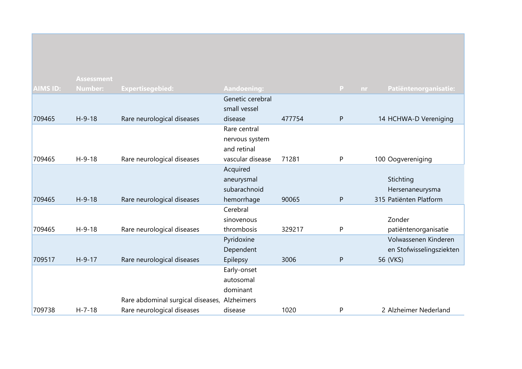|                 | <b>Assessment</b> |                                              |                    |        |              |                              |
|-----------------|-------------------|----------------------------------------------|--------------------|--------|--------------|------------------------------|
| <b>AIMS ID:</b> | <b>Number:</b>    | Expertisegebied:                             | <b>Aandoening:</b> |        | $\mathbf{P}$ | Patiëntenorganisatie:<br>nr. |
|                 |                   |                                              | Genetic cerebral   |        |              |                              |
|                 |                   |                                              | small vessel       |        |              |                              |
| 709465          | $H-9-18$          | Rare neurological diseases                   | disease            | 477754 | P            | 14 HCHWA-D Vereniging        |
|                 |                   |                                              | Rare central       |        |              |                              |
|                 |                   |                                              | nervous system     |        |              |                              |
|                 |                   |                                              | and retinal        |        |              |                              |
| 709465          | $H-9-18$          | Rare neurological diseases                   | vascular disease   | 71281  | P            | 100 Oogvereniging            |
|                 |                   |                                              | Acquired           |        |              |                              |
|                 |                   |                                              | aneurysmal         |        |              | Stichting                    |
|                 |                   |                                              | subarachnoid       |        |              | Hersenaneurysma              |
| 709465          | $H-9-18$          | Rare neurological diseases                   | hemorrhage         | 90065  | P            | 315 Patiënten Platform       |
|                 |                   |                                              | Cerebral           |        |              |                              |
|                 |                   |                                              | sinovenous         |        |              | Zonder                       |
| 709465          | $H-9-18$          | Rare neurological diseases                   | thrombosis         | 329217 | P            | patiëntenorganisatie         |
|                 |                   |                                              | Pyridoxine         |        |              | Volwassenen Kinderen         |
|                 |                   |                                              | Dependent          |        |              | en Stofwisselingsziekten     |
| 709517          | $H-9-17$          | Rare neurological diseases                   | Epilepsy           | 3006   | P            | 56 (VKS)                     |
|                 |                   |                                              | Early-onset        |        |              |                              |
|                 |                   |                                              | autosomal          |        |              |                              |
|                 |                   |                                              | dominant           |        |              |                              |
|                 |                   | Rare abdominal surgical diseases, Alzheimers |                    |        |              |                              |
| 709738          | $H - 7 - 18$      | Rare neurological diseases                   | disease            | 1020   | P            | 2 Alzheimer Nederland        |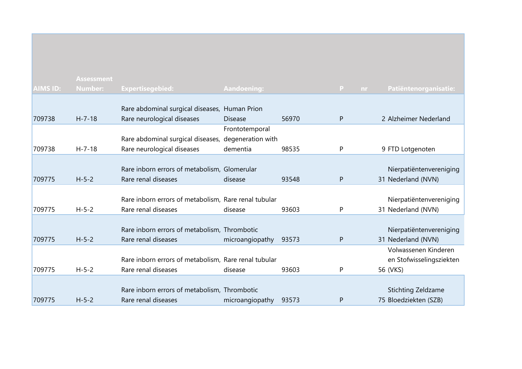|                 | <b>Assessment</b> |                                                      |                   |       |              |     |                           |
|-----------------|-------------------|------------------------------------------------------|-------------------|-------|--------------|-----|---------------------------|
| <b>AIMS ID:</b> | <b>Number:</b>    | <b>Expertisegebied:</b>                              | Aandoening:       |       | $\mathbf{P}$ | nr. | Patiëntenorganisatie:     |
|                 |                   |                                                      |                   |       |              |     |                           |
|                 |                   | Rare abdominal surgical diseases, Human Prion        |                   |       |              |     |                           |
| 709738          | $H - 7 - 18$      | Rare neurological diseases                           | <b>Disease</b>    | 56970 | $\mathsf{P}$ |     | 2 Alzheimer Nederland     |
|                 |                   |                                                      | Frontotemporal    |       |              |     |                           |
|                 |                   | Rare abdominal surgical diseases,                    | degeneration with |       |              |     |                           |
| 709738          | $H - 7 - 18$      | Rare neurological diseases                           | dementia          | 98535 | P            |     | 9 FTD Lotgenoten          |
|                 |                   |                                                      |                   |       |              |     |                           |
|                 |                   | Rare inborn errors of metabolism, Glomerular         |                   |       |              |     | Nierpatiëntenvereniging   |
| 709775          | $H - 5 - 2$       | Rare renal diseases                                  | disease           | 93548 | P            |     | 31 Nederland (NVN)        |
|                 |                   |                                                      |                   |       |              |     |                           |
|                 |                   | Rare inborn errors of metabolism, Rare renal tubular |                   |       |              |     | Nierpatiëntenvereniging   |
| 709775          | $H - 5 - 2$       | Rare renal diseases                                  | disease           | 93603 | P            |     | 31 Nederland (NVN)        |
|                 |                   |                                                      |                   |       |              |     |                           |
|                 |                   | Rare inborn errors of metabolism, Thrombotic         |                   |       |              |     | Nierpatiëntenvereniging   |
| 709775          | $H - 5 - 2$       | Rare renal diseases                                  | microangiopathy   | 93573 | P            |     | 31 Nederland (NVN)        |
|                 |                   |                                                      |                   |       |              |     | Volwassenen Kinderen      |
|                 |                   | Rare inborn errors of metabolism, Rare renal tubular |                   |       |              |     | en Stofwisselingsziekten  |
| 709775          | $H - 5 - 2$       | Rare renal diseases                                  | disease           | 93603 | P            |     | 56 (VKS)                  |
|                 |                   |                                                      |                   |       |              |     |                           |
|                 |                   | Rare inborn errors of metabolism, Thrombotic         |                   |       |              |     | <b>Stichting Zeldzame</b> |
| 709775          | $H - 5 - 2$       | Rare renal diseases                                  | microangiopathy   | 93573 | P            |     | 75 Bloedziekten (SZB)     |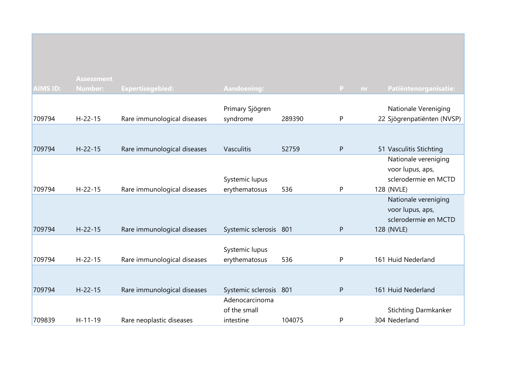|                 | <b>Assessment</b> |                             |                             |        |              |                                                    |
|-----------------|-------------------|-----------------------------|-----------------------------|--------|--------------|----------------------------------------------------|
| <b>AIMS ID:</b> | <b>Number:</b>    | <b>Expertisegebied:</b>     | <b>Aandoening:</b>          |        | P<br>nr.     | Patiëntenorganisatie:                              |
|                 |                   |                             |                             |        |              |                                                    |
| 709794          | $H - 22 - 15$     | Rare immunological diseases | Primary Sjögren<br>syndrome | 289390 | P            | Nationale Vereniging<br>22 Sjögrenpatiënten (NVSP) |
|                 |                   |                             |                             |        |              |                                                    |
|                 |                   |                             |                             |        |              |                                                    |
| 709794          | $H - 22 - 15$     | Rare immunological diseases | <b>Vasculitis</b>           | 52759  | ${\sf P}$    | 51 Vasculitis Stichting                            |
|                 |                   |                             |                             |        |              | Nationale vereniging                               |
|                 |                   |                             |                             |        |              | voor lupus, aps,                                   |
|                 |                   |                             | Systemic lupus              |        |              | sclerodermie en MCTD                               |
| 709794          | $H - 22 - 15$     | Rare immunological diseases | erythematosus               | 536    | ${\sf P}$    | 128 (NVLE)                                         |
|                 |                   |                             |                             |        |              | Nationale vereniging                               |
|                 |                   |                             |                             |        |              | voor lupus, aps,                                   |
|                 |                   |                             |                             |        |              | sclerodermie en MCTD                               |
| 709794          | $H - 22 - 15$     | Rare immunological diseases | Systemic sclerosis 801      |        | ${\sf P}$    | 128 (NVLE)                                         |
|                 |                   |                             |                             |        |              |                                                    |
|                 |                   |                             | Systemic lupus              |        |              |                                                    |
| 709794          | $H - 22 - 15$     | Rare immunological diseases | erythematosus               | 536    | $\mathsf{P}$ | 161 Huid Nederland                                 |
|                 |                   |                             |                             |        |              |                                                    |
|                 |                   |                             |                             |        |              |                                                    |
| 709794          | $H - 22 - 15$     | Rare immunological diseases | Systemic sclerosis 801      |        | ${\sf P}$    | 161 Huid Nederland                                 |
|                 |                   |                             | Adenocarcinoma              |        |              |                                                    |
|                 |                   |                             | of the small                |        |              | <b>Stichting Darmkanker</b>                        |
| 709839          | $H-11-19$         | Rare neoplastic diseases    | intestine                   | 104075 | P            | 304 Nederland                                      |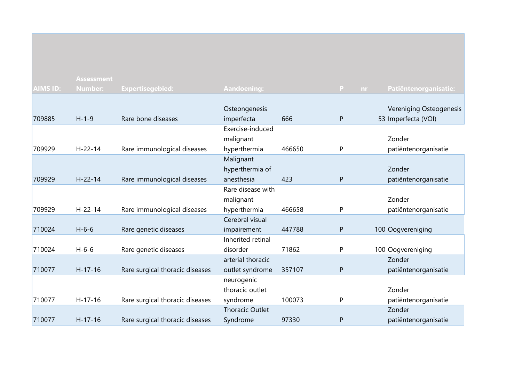|                 | <b>Assessment</b> |                                 |                        |        |    |     |                         |
|-----------------|-------------------|---------------------------------|------------------------|--------|----|-----|-------------------------|
| <b>AIMS ID:</b> | <b>Number:</b>    | <b>Expertisegebied:</b>         | Aandoening:            |        | P. | nr. | Patiëntenorganisatie:   |
|                 |                   |                                 |                        |        |    |     |                         |
|                 |                   |                                 | Osteongenesis          |        |    |     | Vereniging Osteogenesis |
| 709885          | $H - 1 - 9$       | Rare bone diseases              | imperfecta             | 666    | P  |     | 53 Imperfecta (VOI)     |
|                 |                   |                                 | Exercise-induced       |        |    |     |                         |
|                 |                   |                                 | malignant              |        |    |     | Zonder                  |
| 709929          | $H - 22 - 14$     | Rare immunological diseases     | hyperthermia           | 466650 | P  |     | patiëntenorganisatie    |
|                 |                   |                                 | Malignant              |        |    |     |                         |
|                 |                   |                                 | hyperthermia of        |        |    |     | Zonder                  |
| 709929          | $H - 22 - 14$     | Rare immunological diseases     | anesthesia             | 423    | P  |     | patiëntenorganisatie    |
|                 |                   |                                 | Rare disease with      |        |    |     |                         |
|                 |                   |                                 | malignant              |        |    |     | Zonder                  |
| 709929          | $H - 22 - 14$     | Rare immunological diseases     | hyperthermia           | 466658 | P  |     | patiëntenorganisatie    |
|                 |                   |                                 | Cerebral visual        |        |    |     |                         |
| 710024          | $H - 6 - 6$       | Rare genetic diseases           | impairement            | 447788 | P  |     | 100 Oogvereniging       |
|                 |                   |                                 | Inherited retinal      |        |    |     |                         |
| 710024          | $H - 6 - 6$       | Rare genetic diseases           | disorder               | 71862  | P  |     | 100 Oogvereniging       |
|                 |                   |                                 | arterial thoracic      |        |    |     | Zonder                  |
| 710077          | $H-17-16$         | Rare surgical thoracic diseases | outlet syndrome        | 357107 | P  |     | patiëntenorganisatie    |
|                 |                   |                                 | neurogenic             |        |    |     |                         |
|                 |                   |                                 | thoracic outlet        |        |    |     | Zonder                  |
| 710077          | $H-17-16$         | Rare surgical thoracic diseases | syndrome               | 100073 | P  |     | patiëntenorganisatie    |
|                 |                   |                                 | <b>Thoracic Outlet</b> |        |    |     | Zonder                  |
| 710077          | $H - 17 - 16$     | Rare surgical thoracic diseases | Syndrome               | 97330  | P  |     | patiëntenorganisatie    |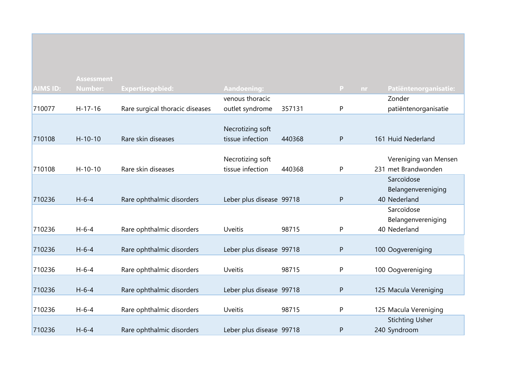|                 | <b>Assessment</b> |                                 |                          |        |                     |                        |
|-----------------|-------------------|---------------------------------|--------------------------|--------|---------------------|------------------------|
| <b>AIMS ID:</b> | <b>Number:</b>    | <b>Expertisegebied:</b>         | <b>Aandoening:</b>       |        | $\mathbf{P}$<br>nr. | Patiëntenorganisatie:  |
|                 |                   |                                 | venous thoracic          |        |                     | Zonder                 |
| 710077          | $H-17-16$         | Rare surgical thoracic diseases | outlet syndrome          | 357131 | P                   | patiëntenorganisatie   |
|                 |                   |                                 |                          |        |                     |                        |
|                 |                   |                                 | Necrotizing soft         |        |                     |                        |
| 710108          | $H - 10 - 10$     | Rare skin diseases              | tissue infection         | 440368 | P                   | 161 Huid Nederland     |
|                 |                   |                                 |                          |        |                     |                        |
|                 |                   |                                 | Necrotizing soft         |        |                     | Vereniging van Mensen  |
| 710108          | $H-10-10$         | Rare skin diseases              | tissue infection         | 440368 | P                   | 231 met Brandwonden    |
|                 |                   |                                 |                          |        |                     | Sarcoïdose             |
|                 |                   |                                 |                          |        |                     | Belangenvereniging     |
| 710236          | $H - 6 - 4$       | Rare ophthalmic disorders       | Leber plus disease 99718 |        | P                   | 40 Nederland           |
|                 |                   |                                 |                          |        |                     | Sarcoïdose             |
|                 |                   |                                 |                          |        |                     | Belangenvereniging     |
| 710236          | $H - 6 - 4$       | Rare ophthalmic disorders       | <b>Uveitis</b>           | 98715  | P                   | 40 Nederland           |
|                 |                   |                                 |                          |        |                     |                        |
| 710236          | $H - 6 - 4$       | Rare ophthalmic disorders       | Leber plus disease 99718 |        | P                   | 100 Oogvereniging      |
|                 |                   |                                 |                          |        |                     |                        |
| 710236          | $H - 6 - 4$       | Rare ophthalmic disorders       | <b>Uveitis</b>           | 98715  | P                   | 100 Oogvereniging      |
|                 |                   |                                 |                          |        |                     |                        |
| 710236          | $H - 6 - 4$       | Rare ophthalmic disorders       | Leber plus disease 99718 |        | P                   | 125 Macula Vereniging  |
|                 |                   |                                 |                          |        |                     |                        |
| 710236          | $H - 6 - 4$       | Rare ophthalmic disorders       | <b>Uveitis</b>           | 98715  | P                   | 125 Macula Vereniging  |
|                 |                   |                                 |                          |        |                     | <b>Stichting Usher</b> |
| 710236          | $H - 6 - 4$       | Rare ophthalmic disorders       | Leber plus disease 99718 |        | P                   | 240 Syndroom           |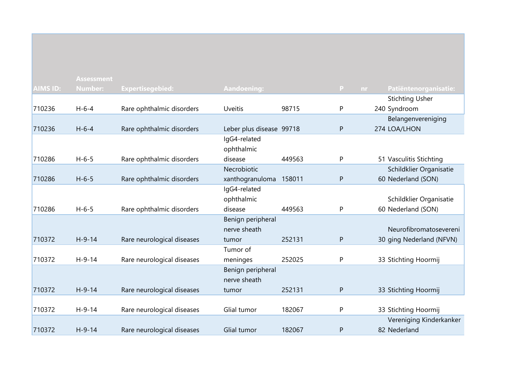|                 | <b>Assessment</b> |                            |                          |        |                     |                          |
|-----------------|-------------------|----------------------------|--------------------------|--------|---------------------|--------------------------|
| <b>AIMS ID:</b> | <b>Number:</b>    | <b>Expertisegebied:</b>    | Aandoening:              |        | $\mathbf{P}$<br>nr. | Patiëntenorganisatie:    |
|                 |                   |                            |                          |        |                     | <b>Stichting Usher</b>   |
| 710236          | $H - 6 - 4$       | Rare ophthalmic disorders  | <b>Uveitis</b>           | 98715  | P                   | 240 Syndroom             |
|                 |                   |                            |                          |        |                     | Belangenvereniging       |
| 710236          | $H - 6 - 4$       | Rare ophthalmic disorders  | Leber plus disease 99718 |        | ${\sf P}$           | 274 LOA/LHON             |
|                 |                   |                            | IgG4-related             |        |                     |                          |
|                 |                   |                            | ophthalmic               |        |                     |                          |
| 710286          | $H - 6 - 5$       | Rare ophthalmic disorders  | disease                  | 449563 | P                   | 51 Vasculitis Stichting  |
|                 |                   |                            | Necrobiotic              |        |                     | Schildklier Organisatie  |
| 710286          | $H - 6 - 5$       | Rare ophthalmic disorders  | xanthogranuloma          | 158011 | ${\sf P}$           | 60 Nederland (SON)       |
|                 |                   |                            | IgG4-related             |        |                     |                          |
|                 |                   |                            | ophthalmic               |        |                     | Schildklier Organisatie  |
| 710286          | $H - 6 - 5$       | Rare ophthalmic disorders  | disease                  | 449563 | P                   | 60 Nederland (SON)       |
|                 |                   |                            | Benign peripheral        |        |                     |                          |
|                 |                   |                            | nerve sheath             |        |                     | Neurofibromatosevereni   |
| 710372          | $H-9-14$          | Rare neurological diseases | tumor                    | 252131 | ${\sf P}$           | 30 ging Nederland (NFVN) |
|                 |                   |                            | Tumor of                 |        |                     |                          |
| 710372          | $H-9-14$          | Rare neurological diseases | meninges                 | 252025 | P                   | 33 Stichting Hoormij     |
|                 |                   |                            | Benign peripheral        |        |                     |                          |
|                 |                   |                            | nerve sheath             |        |                     |                          |
| 710372          | $H-9-14$          | Rare neurological diseases | tumor                    | 252131 | ${\sf P}$           | 33 Stichting Hoormij     |
|                 |                   |                            |                          |        |                     |                          |
| 710372          | $H - 9 - 14$      | Rare neurological diseases | Glial tumor              | 182067 | P                   | 33 Stichting Hoormij     |
|                 |                   |                            |                          |        |                     | Vereniging Kinderkanker  |
| 710372          | $H - 9 - 14$      | Rare neurological diseases | Glial tumor              | 182067 | P                   | 82 Nederland             |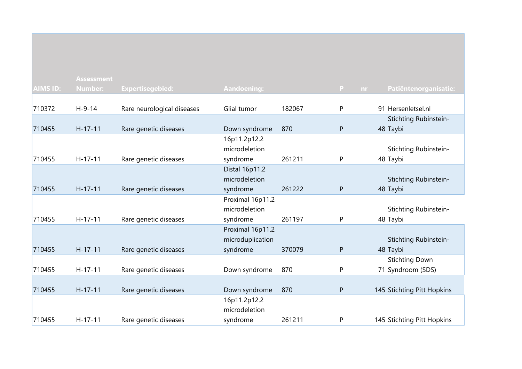|                 | <b>Assessment</b> |                            |                  |        |              |                            |
|-----------------|-------------------|----------------------------|------------------|--------|--------------|----------------------------|
| <b>AIMS ID:</b> | <b>Number:</b>    | <b>Expertisegebied:</b>    | Aandoening:      |        | P<br>nr.     | Patiëntenorganisatie:      |
|                 |                   |                            |                  |        |              |                            |
| 710372          | $H - 9 - 14$      | Rare neurological diseases | Glial tumor      | 182067 | P            | 91 Hersenletsel.nl         |
|                 |                   |                            |                  |        |              | Stichting Rubinstein-      |
| 710455          | $H-17-11$         | Rare genetic diseases      | Down syndrome    | 870    | $\mathsf{P}$ | 48 Taybi                   |
|                 |                   |                            | 16p11.2p12.2     |        |              |                            |
|                 |                   |                            | microdeletion    |        |              | Stichting Rubinstein-      |
| 710455          | $H-17-11$         | Rare genetic diseases      | syndrome         | 261211 | P            | 48 Taybi                   |
|                 |                   |                            | Distal 16p11.2   |        |              |                            |
|                 |                   |                            | microdeletion    |        |              | Stichting Rubinstein-      |
| 710455          | $H-17-11$         | Rare genetic diseases      | syndrome         | 261222 | P            | 48 Taybi                   |
|                 |                   |                            | Proximal 16p11.2 |        |              |                            |
|                 |                   |                            | microdeletion    |        |              | Stichting Rubinstein-      |
| 710455          | $H-17-11$         | Rare genetic diseases      | syndrome         | 261197 | P            | 48 Taybi                   |
|                 |                   |                            | Proximal 16p11.2 |        |              |                            |
|                 |                   |                            | microduplication |        |              | Stichting Rubinstein-      |
| 710455          | $H-17-11$         | Rare genetic diseases      | syndrome         | 370079 | ${\sf P}$    | 48 Taybi                   |
|                 |                   |                            |                  |        |              | <b>Stichting Down</b>      |
| 710455          | $H-17-11$         | Rare genetic diseases      | Down syndrome    | 870    | P            | 71 Syndroom (SDS)          |
|                 |                   |                            |                  |        |              |                            |
| 710455          | $H - 17 - 11$     | Rare genetic diseases      | Down syndrome    | 870    | $\mathsf{P}$ | 145 Stichting Pitt Hopkins |
|                 |                   |                            | 16p11.2p12.2     |        |              |                            |
|                 |                   |                            | microdeletion    |        |              |                            |
| 710455          | $H-17-11$         | Rare genetic diseases      | syndrome         | 261211 | P            | 145 Stichting Pitt Hopkins |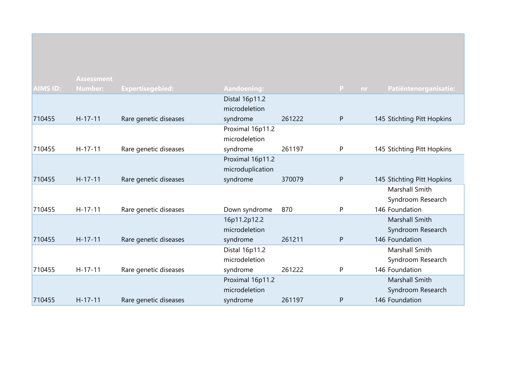|                 | <b>Assessment</b> |                       |                    |        |                     |                            |
|-----------------|-------------------|-----------------------|--------------------|--------|---------------------|----------------------------|
| <b>AIMS ID:</b> | <b>Number:</b>    | Expertisegebied:      | <b>Aandoening:</b> |        | $\mathbf{P}$<br>nr. | Patiëntenorganisatie:      |
|                 |                   |                       | Distal 16p11.2     |        |                     |                            |
|                 |                   |                       | microdeletion      |        |                     |                            |
| 710455          | $H - 17 - 11$     | Rare genetic diseases | syndrome           | 261222 | $\mathsf{P}$        | 145 Stichting Pitt Hopkins |
|                 |                   |                       | Proximal 16p11.2   |        |                     |                            |
|                 |                   |                       | microdeletion      |        |                     |                            |
| 710455          | $H-17-11$         | Rare genetic diseases | syndrome           | 261197 | P                   | 145 Stichting Pitt Hopkins |
|                 |                   |                       | Proximal 16p11.2   |        |                     |                            |
|                 |                   |                       | microduplication   |        |                     |                            |
| 710455          | $H - 17 - 11$     | Rare genetic diseases | syndrome           | 370079 | $\mathsf{P}$        | 145 Stichting Pitt Hopkins |
|                 |                   |                       |                    |        |                     | <b>Marshall Smith</b>      |
|                 |                   |                       |                    |        |                     | Syndroom Research          |
| 710455          | $H-17-11$         | Rare genetic diseases | Down syndrome      | 870    | P                   | 146 Foundation             |
|                 |                   |                       | 16p11.2p12.2       |        |                     | Marshall Smith             |
|                 |                   |                       | microdeletion      |        |                     | Syndroom Research          |
| 710455          | $H - 17 - 11$     | Rare genetic diseases | syndrome           | 261211 | $\mathsf{P}$        | 146 Foundation             |
|                 |                   |                       | Distal 16p11.2     |        |                     | Marshall Smith             |
|                 |                   |                       | microdeletion      |        |                     | Syndroom Research          |
| 710455          | $H-17-11$         | Rare genetic diseases | syndrome           | 261222 | P                   | 146 Foundation             |
|                 |                   |                       | Proximal 16p11.2   |        |                     | Marshall Smith             |
|                 |                   |                       | microdeletion      |        |                     | Syndroom Research          |
| 710455          | $H - 17 - 11$     | Rare genetic diseases | syndrome           | 261197 | P                   | 146 Foundation             |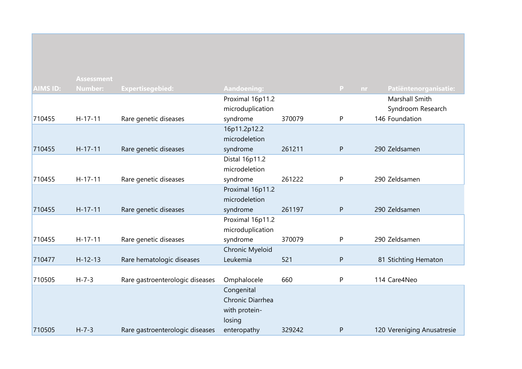|                 | <b>Assessment</b> |                                 |                             |        |              |                            |
|-----------------|-------------------|---------------------------------|-----------------------------|--------|--------------|----------------------------|
| <b>AIMS ID:</b> | <b>Number:</b>    | <b>Expertisegebied:</b>         | Aandoening:                 |        | P.<br>nr.    | Patiëntenorganisatie:      |
|                 |                   |                                 | Proximal 16p11.2            |        |              | Marshall Smith             |
|                 |                   |                                 | microduplication            |        |              | Syndroom Research          |
| 710455          | $H-17-11$         | Rare genetic diseases           | syndrome                    | 370079 | P            | 146 Foundation             |
|                 |                   |                                 | 16p11.2p12.2                |        |              |                            |
|                 |                   |                                 | microdeletion               |        |              |                            |
| 710455          | $H-17-11$         | Rare genetic diseases           | syndrome                    | 261211 | ${\sf P}$    | 290 Zeldsamen              |
|                 |                   |                                 | Distal 16p11.2              |        |              |                            |
|                 |                   |                                 | microdeletion               |        |              |                            |
| 710455          | $H-17-11$         | Rare genetic diseases           | syndrome                    | 261222 | P            | 290 Zeldsamen              |
|                 |                   |                                 | Proximal 16p11.2            |        |              |                            |
|                 |                   |                                 | microdeletion               |        |              |                            |
| 710455          | $H-17-11$         | Rare genetic diseases           | syndrome                    | 261197 | ${\sf P}$    | 290 Zeldsamen              |
|                 |                   |                                 | Proximal 16p11.2            |        |              |                            |
|                 |                   |                                 | microduplication            |        |              |                            |
| 710455          | $H-17-11$         | Rare genetic diseases           | syndrome                    | 370079 | ${\sf P}$    | 290 Zeldsamen              |
| 710477          | $H - 12 - 13$     |                                 | Chronic Myeloid<br>Leukemia | 521    | ${\sf P}$    |                            |
|                 |                   | Rare hematologic diseases       |                             |        |              | 81 Stichting Hematon       |
| 710505          | $H - 7 - 3$       | Rare gastroenterologic diseases | Omphalocele                 | 660    | P            | 114 Care4Neo               |
|                 |                   |                                 | Congenital                  |        |              |                            |
|                 |                   |                                 | Chronic Diarrhea            |        |              |                            |
|                 |                   |                                 | with protein-               |        |              |                            |
|                 |                   |                                 | losing                      |        |              |                            |
| 710505          | $H - 7 - 3$       | Rare gastroenterologic diseases | enteropathy                 | 329242 | $\mathsf{P}$ | 120 Vereniging Anusatresie |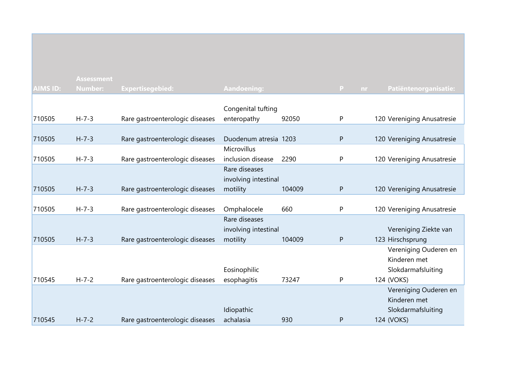|                 | <b>Assessment</b> |                                 |                       |        |              |                            |
|-----------------|-------------------|---------------------------------|-----------------------|--------|--------------|----------------------------|
| <b>AIMS ID:</b> | <b>Number:</b>    | <b>Expertisegebied:</b>         | <b>Aandoening:</b>    |        | P<br>nr.     | Patiëntenorganisatie:      |
|                 |                   |                                 |                       |        |              |                            |
|                 |                   |                                 | Congenital tufting    |        |              |                            |
| 710505          | $H - 7 - 3$       | Rare gastroenterologic diseases | enteropathy           | 92050  | P            | 120 Vereniging Anusatresie |
| 710505          | $H - 7 - 3$       | Rare gastroenterologic diseases | Duodenum atresia 1203 |        | ${\sf P}$    | 120 Vereniging Anusatresie |
|                 |                   |                                 | Microvillus           |        |              |                            |
| 710505          | $H - 7 - 3$       | Rare gastroenterologic diseases | inclusion disease     | 2290   | P            | 120 Vereniging Anusatresie |
|                 |                   |                                 | Rare diseases         |        |              |                            |
|                 |                   |                                 | involving intestinal  |        |              |                            |
| 710505          | $H - 7 - 3$       | Rare gastroenterologic diseases | motility              | 104009 | $\mathsf{P}$ | 120 Vereniging Anusatresie |
|                 |                   |                                 |                       |        |              |                            |
| 710505          | $H - 7 - 3$       | Rare gastroenterologic diseases | Omphalocele           | 660    | P            | 120 Vereniging Anusatresie |
|                 |                   |                                 | Rare diseases         |        |              |                            |
|                 |                   |                                 | involving intestinal  |        |              | Vereniging Ziekte van      |
| 710505          | $H - 7 - 3$       | Rare gastroenterologic diseases | motility              | 104009 | ${\sf P}$    | 123 Hirschsprung           |
|                 |                   |                                 |                       |        |              | Vereniging Ouderen en      |
|                 |                   |                                 |                       |        |              | Kinderen met               |
|                 |                   |                                 | Eosinophilic          |        |              | Slokdarmafsluiting         |
| 710545          | $H - 7 - 2$       | Rare gastroenterologic diseases | esophagitis           | 73247  | P            | 124 (VOKS)                 |
|                 |                   |                                 |                       |        |              | Vereniging Ouderen en      |
|                 |                   |                                 |                       |        |              | Kinderen met               |
|                 |                   |                                 | Idiopathic            |        |              | Slokdarmafsluiting         |
| 710545          | $H - 7 - 2$       | Rare gastroenterologic diseases | achalasia             | 930    | P            | 124 (VOKS)                 |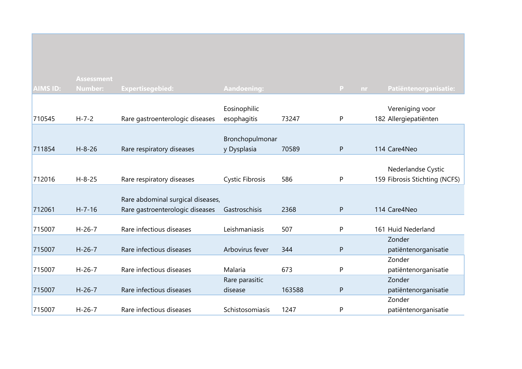|                 | <b>Assessment</b> |                                   |                        |        |                 |                               |
|-----------------|-------------------|-----------------------------------|------------------------|--------|-----------------|-------------------------------|
| <b>AIMS ID:</b> | <b>Number:</b>    | <b>Expertisegebied:</b>           | Aandoening:            |        | P.<br><b>nr</b> | Patiëntenorganisatie:         |
|                 |                   |                                   |                        |        |                 |                               |
|                 |                   |                                   | Eosinophilic           |        |                 | Vereniging voor               |
| 710545          | $H - 7 - 2$       | Rare gastroenterologic diseases   | esophagitis            | 73247  | P               | 182 Allergiepatiënten         |
|                 |                   |                                   |                        |        |                 |                               |
|                 |                   |                                   | Bronchopulmonar        |        |                 |                               |
| 711854          | $H - 8 - 26$      | Rare respiratory diseases         | y Dysplasia            | 70589  | P               | 114 Care4Neo                  |
|                 |                   |                                   |                        |        |                 |                               |
|                 |                   |                                   |                        |        |                 | Nederlandse Cystic            |
| 712016          | $H - 8 - 25$      | Rare respiratory diseases         | <b>Cystic Fibrosis</b> | 586    | P               | 159 Fibrosis Stichting (NCFS) |
|                 |                   |                                   |                        |        |                 |                               |
|                 |                   | Rare abdominal surgical diseases, |                        |        |                 |                               |
| 712061          | $H - 7 - 16$      | Rare gastroenterologic diseases   | Gastroschisis          | 2368   | P               | 114 Care4Neo                  |
|                 |                   |                                   |                        |        |                 |                               |
| 715007          | $H - 26 - 7$      | Rare infectious diseases          | Leishmaniasis          | 507    | P               | 161 Huid Nederland            |
|                 |                   |                                   |                        |        |                 | Zonder                        |
| 715007          | $H - 26 - 7$      | Rare infectious diseases          | Arbovirus fever        | 344    | $\mathsf{P}$    | patiëntenorganisatie          |
|                 |                   |                                   |                        |        |                 | Zonder                        |
| 715007          | $H - 26 - 7$      | Rare infectious diseases          | Malaria                | 673    | P               | patiëntenorganisatie          |
|                 |                   |                                   | Rare parasitic         |        |                 | Zonder                        |
| 715007          | $H - 26 - 7$      | Rare infectious diseases          | disease                | 163588 | P               | patiëntenorganisatie          |
|                 |                   |                                   |                        |        |                 | Zonder                        |
| 715007          | $H - 26 - 7$      | Rare infectious diseases          | Schistosomiasis        | 1247   | ${\sf P}$       | patiëntenorganisatie          |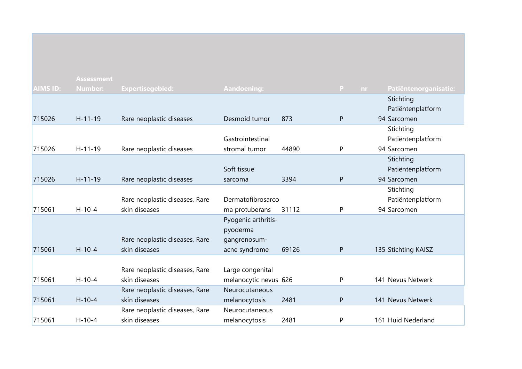|                 | <b>Assessment</b> |                                |                       |       |              |     |                       |
|-----------------|-------------------|--------------------------------|-----------------------|-------|--------------|-----|-----------------------|
| <b>AIMS ID:</b> | <b>Number:</b>    | <b>Expertisegebied:</b>        | <b>Aandoening:</b>    |       | P            | nr. | Patiëntenorganisatie: |
|                 |                   |                                |                       |       |              |     | Stichting             |
|                 |                   |                                |                       |       |              |     | Patiëntenplatform     |
| 715026          | $H - 11 - 19$     | Rare neoplastic diseases       | Desmoid tumor         | 873   | $\mathsf{P}$ |     | 94 Sarcomen           |
|                 |                   |                                |                       |       |              |     | Stichting             |
|                 |                   |                                | Gastrointestinal      |       |              |     | Patiëntenplatform     |
| 715026          | $H-11-19$         | Rare neoplastic diseases       | stromal tumor         | 44890 | P            |     | 94 Sarcomen           |
|                 |                   |                                |                       |       |              |     | Stichting             |
|                 |                   |                                | Soft tissue           |       |              |     | Patiëntenplatform     |
| 715026          | $H - 11 - 19$     | Rare neoplastic diseases       | sarcoma               | 3394  | $\mathsf{P}$ |     | 94 Sarcomen           |
|                 |                   |                                |                       |       |              |     | Stichting             |
|                 |                   | Rare neoplastic diseases, Rare | Dermatofibrosarco     |       |              |     | Patiëntenplatform     |
| 715061          | $H - 10 - 4$      | skin diseases                  | ma protuberans        | 31112 | P            |     | 94 Sarcomen           |
|                 |                   |                                | Pyogenic arthritis-   |       |              |     |                       |
|                 |                   |                                | pyoderma              |       |              |     |                       |
|                 |                   | Rare neoplastic diseases, Rare | gangrenosum-          |       |              |     |                       |
| 715061          | $H - 10 - 4$      | skin diseases                  | acne syndrome         | 69126 | P            |     | 135 Stichting KAISZ   |
|                 |                   |                                |                       |       |              |     |                       |
|                 |                   | Rare neoplastic diseases, Rare | Large congenital      |       |              |     |                       |
| 715061          | $H-10-4$          | skin diseases                  | melanocytic nevus 626 |       | P            |     | 141 Nevus Netwerk     |
|                 |                   | Rare neoplastic diseases, Rare | Neurocutaneous        |       |              |     |                       |
| 715061          | $H-10-4$          | skin diseases                  | melanocytosis         | 2481  | ${\sf P}$    |     | 141 Nevus Netwerk     |
|                 |                   | Rare neoplastic diseases, Rare | Neurocutaneous        |       |              |     |                       |
| 715061          | $H-10-4$          | skin diseases                  | melanocytosis         | 2481  | P            |     | 161 Huid Nederland    |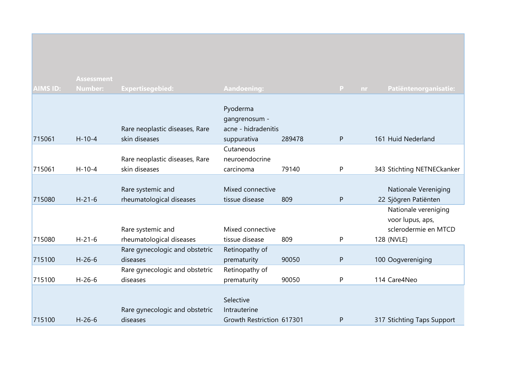| <b>AIMS ID:</b> | <b>Assessment</b><br>Number: | <b>Expertisegebied:</b>        | Aandoening:               |        | P<br>nr.     | Patiëntenorganisatie:      |
|-----------------|------------------------------|--------------------------------|---------------------------|--------|--------------|----------------------------|
|                 |                              |                                |                           |        |              |                            |
|                 |                              |                                | Pyoderma                  |        |              |                            |
|                 |                              |                                | gangrenosum -             |        |              |                            |
|                 |                              | Rare neoplastic diseases, Rare | acne - hidradenitis       |        |              |                            |
| 715061          | $H - 10 - 4$                 | skin diseases                  | suppurativa               | 289478 | P            | 161 Huid Nederland         |
|                 |                              |                                | Cutaneous                 |        |              |                            |
|                 |                              | Rare neoplastic diseases, Rare | neuroendocrine            |        |              |                            |
| 715061          | $H - 10 - 4$                 | skin diseases                  | carcinoma                 | 79140  | P            | 343 Stichting NETNECkanker |
|                 |                              | Rare systemic and              | Mixed connective          |        |              | Nationale Vereniging       |
| 715080          | $H - 21 - 6$                 | rheumatological diseases       | tissue disease            | 809    | P            | 22 Sjögren Patiënten       |
|                 |                              |                                |                           |        |              | Nationale vereniging       |
|                 |                              |                                |                           |        |              | voor lupus, aps,           |
|                 |                              | Rare systemic and              | Mixed connective          |        |              | sclerodermie en MTCD       |
| 715080          | $H - 21 - 6$                 | rheumatological diseases       | tissue disease            | 809    | P            | 128 (NVLE)                 |
|                 |                              | Rare gynecologic and obstetric | Retinopathy of            |        |              |                            |
| 715100          | $H-26-6$                     | diseases                       | prematurity               | 90050  | $\mathsf{P}$ | 100 Oogvereniging          |
|                 |                              | Rare gynecologic and obstetric | Retinopathy of            |        |              |                            |
| 715100          | $H-26-6$                     | diseases                       | prematurity               | 90050  | P            | 114 Care4Neo               |
|                 |                              |                                |                           |        |              |                            |
|                 |                              |                                | Selective                 |        |              |                            |
|                 | $H - 26 - 6$                 | Rare gynecologic and obstetric | Intrauterine              |        |              |                            |
| 715100          |                              | diseases                       | Growth Restriction 617301 |        | $\mathsf{P}$ | 317 Stichting Taps Support |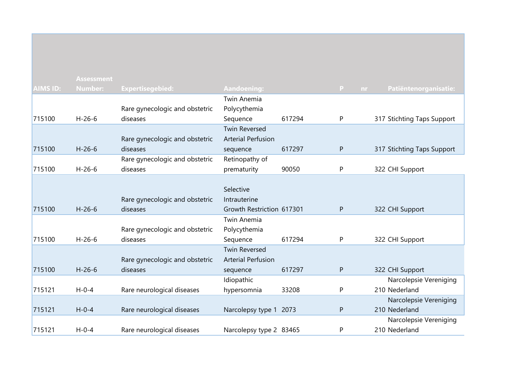|                 | <b>Assessment</b> |                                |                           |        |          |                            |
|-----------------|-------------------|--------------------------------|---------------------------|--------|----------|----------------------------|
| <b>AIMS ID:</b> | <b>Number:</b>    | <b>Expertisegebied:</b>        | Aandoening:               |        | P<br>nr. | Patiëntenorganisatie:      |
|                 |                   |                                | <b>Twin Anemia</b>        |        |          |                            |
|                 |                   | Rare gynecologic and obstetric | Polycythemia              |        |          |                            |
| 715100          | $H - 26 - 6$      | diseases                       | Sequence                  | 617294 | P        | 317 Stichting Taps Support |
|                 |                   |                                | <b>Twin Reversed</b>      |        |          |                            |
|                 |                   | Rare gynecologic and obstetric | <b>Arterial Perfusion</b> |        |          |                            |
| 715100          | $H - 26 - 6$      | diseases                       | sequence                  | 617297 | P        | 317 Stichting Taps Support |
|                 |                   | Rare gynecologic and obstetric | Retinopathy of            |        |          |                            |
| 715100          | $H - 26 - 6$      | diseases                       | prematurity               | 90050  | P        | 322 CHI Support            |
|                 |                   |                                |                           |        |          |                            |
|                 |                   |                                | Selective                 |        |          |                            |
|                 |                   | Rare gynecologic and obstetric | Intrauterine              |        |          |                            |
| 715100          | $H - 26 - 6$      | diseases                       | Growth Restriction 617301 |        | P        | 322 CHI Support            |
|                 |                   |                                | <b>Twin Anemia</b>        |        |          |                            |
|                 |                   | Rare gynecologic and obstetric | Polycythemia              |        |          |                            |
| 715100          | $H-26-6$          | diseases                       | Sequence                  | 617294 | P        | 322 CHI Support            |
|                 |                   |                                | <b>Twin Reversed</b>      |        |          |                            |
|                 |                   | Rare gynecologic and obstetric | <b>Arterial Perfusion</b> |        |          |                            |
| 715100          | $H - 26 - 6$      | diseases                       | sequence                  | 617297 | P        | 322 CHI Support            |
|                 |                   |                                | Idiopathic                |        |          | Narcolepsie Vereniging     |
| 715121          | $H - 0 - 4$       | Rare neurological diseases     | hypersomnia               | 33208  | P        | 210 Nederland              |
|                 |                   |                                |                           |        |          | Narcolepsie Vereniging     |
| 715121          | $H - 0 - 4$       | Rare neurological diseases     | Narcolepsy type 1         | 2073   | P        | 210 Nederland              |
|                 |                   |                                |                           |        |          | Narcolepsie Vereniging     |
| 715121          | $H - 0 - 4$       | Rare neurological diseases     | Narcolepsy type 2 83465   |        | P        | 210 Nederland              |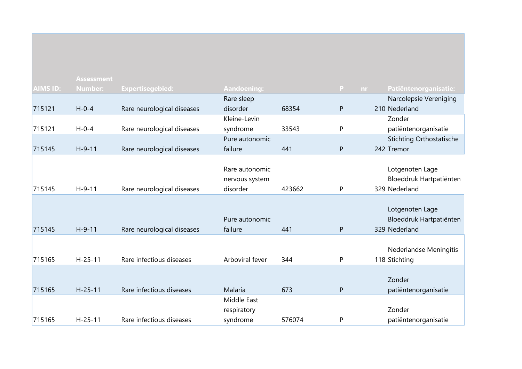|                 | <b>Assessment</b> |                            |                    |        |                     |                                 |
|-----------------|-------------------|----------------------------|--------------------|--------|---------------------|---------------------------------|
| <b>AIMS ID:</b> | <b>Number:</b>    | <b>Expertisegebied:</b>    | <b>Aandoening:</b> |        | $\mathbf{P}$<br>nr. | Patiëntenorganisatie:           |
|                 |                   |                            | Rare sleep         |        |                     | Narcolepsie Vereniging          |
| 715121          | $H - 0 - 4$       | Rare neurological diseases | disorder           | 68354  | $\mathsf{P}$        | 210 Nederland                   |
|                 |                   |                            | Kleine-Levin       |        |                     | Zonder                          |
| 715121          | $H - 0 - 4$       | Rare neurological diseases | syndrome           | 33543  | P                   | patiëntenorganisatie            |
|                 |                   |                            | Pure autonomic     |        |                     | <b>Stichting Orthostatische</b> |
| 715145          | $H-9-11$          | Rare neurological diseases | failure            | 441    | $\mathsf{P}$        | 242 Tremor                      |
|                 |                   |                            |                    |        |                     |                                 |
|                 |                   |                            | Rare autonomic     |        |                     | Lotgenoten Lage                 |
|                 |                   |                            | nervous system     |        |                     | Bloeddruk Hartpatiënten         |
| 715145          | $H-9-11$          | Rare neurological diseases | disorder           | 423662 | P                   | 329 Nederland                   |
|                 |                   |                            |                    |        |                     |                                 |
|                 |                   |                            |                    |        |                     | Lotgenoten Lage                 |
|                 |                   |                            | Pure autonomic     |        |                     | Bloeddruk Hartpatiënten         |
| 715145          | $H-9-11$          | Rare neurological diseases | failure            | 441    | ${\sf P}$           | 329 Nederland                   |
|                 |                   |                            |                    |        |                     |                                 |
|                 |                   |                            |                    |        |                     | Nederlandse Meningitis          |
| 715165          | $H - 25 - 11$     | Rare infectious diseases   | Arboviral fever    | 344    | P                   | 118 Stichting                   |
|                 |                   |                            |                    |        |                     |                                 |
|                 |                   |                            |                    |        |                     | Zonder                          |
| 715165          | $H - 25 - 11$     | Rare infectious diseases   | Malaria            | 673    | $\mathsf{P}$        | patiëntenorganisatie            |
|                 |                   |                            | Middle East        |        |                     |                                 |
|                 |                   |                            | respiratory        |        |                     | Zonder                          |
| 715165          | $H - 25 - 11$     | Rare infectious diseases   | syndrome           | 576074 | $\mathsf{P}$        | patiëntenorganisatie            |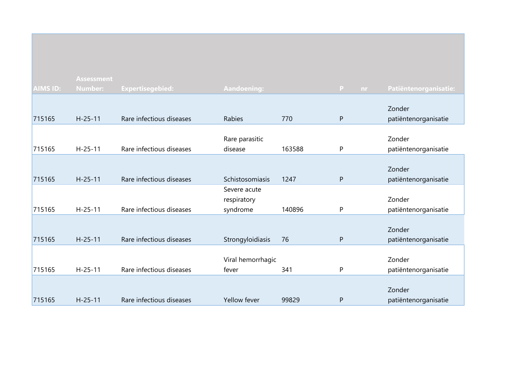|                 | <b>Assessment</b> |                          |                    |        |           |                       |
|-----------------|-------------------|--------------------------|--------------------|--------|-----------|-----------------------|
| <b>AIMS ID:</b> | <b>Number:</b>    | <b>Expertisegebied:</b>  | <b>Aandoening:</b> |        | P<br>nr.  | Patiëntenorganisatie: |
|                 |                   |                          |                    |        |           |                       |
|                 |                   |                          |                    |        |           | Zonder                |
| 715165          | $H - 25 - 11$     | Rare infectious diseases | Rabies             | 770    | ${\sf P}$ | patiëntenorganisatie  |
|                 |                   |                          |                    |        |           |                       |
|                 |                   |                          | Rare parasitic     |        |           | Zonder                |
| 715165          | $H - 25 - 11$     | Rare infectious diseases | disease            | 163588 | P         | patiëntenorganisatie  |
|                 |                   |                          |                    |        |           |                       |
|                 |                   |                          |                    |        |           | Zonder                |
| 715165          | $H - 25 - 11$     | Rare infectious diseases | Schistosomiasis    | 1247   | ${\sf P}$ | patiëntenorganisatie  |
|                 |                   |                          | Severe acute       |        |           |                       |
|                 |                   |                          | respiratory        |        |           | Zonder                |
| 715165          | $H - 25 - 11$     | Rare infectious diseases | syndrome           | 140896 | P         | patiëntenorganisatie  |
|                 |                   |                          |                    |        |           |                       |
|                 |                   |                          |                    |        |           | Zonder                |
| 715165          | $H - 25 - 11$     | Rare infectious diseases | Strongyloidiasis   | 76     | P         | patiëntenorganisatie  |
|                 |                   |                          |                    |        |           |                       |
|                 |                   |                          | Viral hemorrhagic  |        |           | Zonder                |
| 715165          | $H - 25 - 11$     | Rare infectious diseases | fever              | 341    | P         | patiëntenorganisatie  |
|                 |                   |                          |                    |        |           |                       |
|                 |                   |                          |                    |        |           | Zonder                |
| 715165          | $H - 25 - 11$     | Rare infectious diseases | Yellow fever       | 99829  | P         | patiëntenorganisatie  |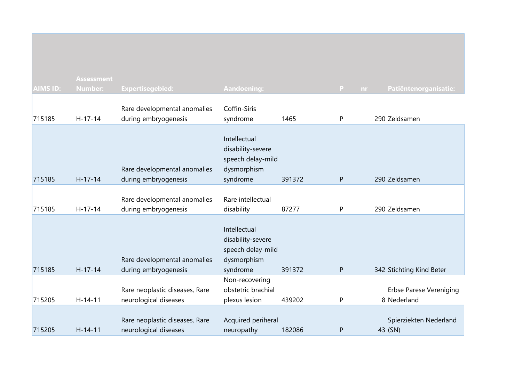|                 | <b>Assessment</b> |                                                         |                                                                                   |        |          |                                   |
|-----------------|-------------------|---------------------------------------------------------|-----------------------------------------------------------------------------------|--------|----------|-----------------------------------|
| <b>AIMS ID:</b> | <b>Number:</b>    | <b>Expertisegebied:</b>                                 | <b>Aandoening:</b>                                                                |        | P<br>nr. | Patiëntenorganisatie:             |
|                 |                   |                                                         |                                                                                   |        |          |                                   |
|                 |                   | Rare developmental anomalies                            | Coffin-Siris                                                                      |        |          |                                   |
| 715185          | $H - 17 - 14$     | during embryogenesis                                    | syndrome                                                                          | 1465   | P        | 290 Zeldsamen                     |
| 715185          | $H-17-14$         | Rare developmental anomalies<br>during embryogenesis    | Intellectual<br>disability-severe<br>speech delay-mild<br>dysmorphism<br>syndrome | 391372 | P        | 290 Zeldsamen                     |
|                 |                   |                                                         |                                                                                   |        |          |                                   |
| 715185          | $H - 17 - 14$     | Rare developmental anomalies<br>during embryogenesis    | Rare intellectual<br>disability                                                   | 87277  | P        | 290 Zeldsamen                     |
| 715185          | $H-17-14$         | Rare developmental anomalies<br>during embryogenesis    | Intellectual<br>disability-severe<br>speech delay-mild<br>dysmorphism<br>syndrome | 391372 | P        | 342 Stichting Kind Beter          |
|                 |                   |                                                         | Non-recovering                                                                    |        |          |                                   |
|                 |                   | Rare neoplastic diseases, Rare                          | obstetric brachial                                                                |        |          | Erbse Parese Vereniging           |
| 715205          | $H - 14 - 11$     | neurological diseases                                   | plexus lesion                                                                     | 439202 | P        | 8 Nederland                       |
| 715205          | $H - 14 - 11$     | Rare neoplastic diseases, Rare<br>neurological diseases | Acquired periheral<br>neuropathy                                                  | 182086 | P        | Spierziekten Nederland<br>43 (SN) |
|                 |                   |                                                         |                                                                                   |        |          |                                   |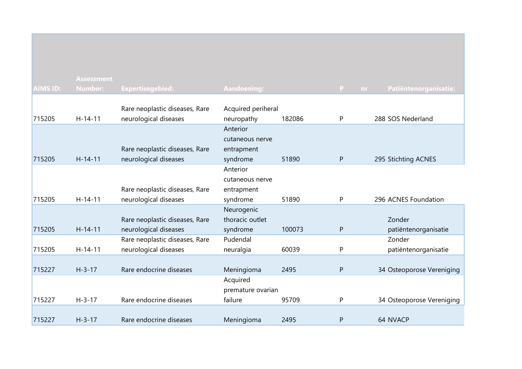|                 | <b>Assessment</b> |                                |                    |        |                 |                           |
|-----------------|-------------------|--------------------------------|--------------------|--------|-----------------|---------------------------|
| <b>AIMS ID:</b> | <b>Number:</b>    | <b>Expertisegebied:</b>        | Aandoening:        |        | P.<br><b>nr</b> | Patiëntenorganisatie:     |
|                 |                   |                                |                    |        |                 |                           |
|                 |                   | Rare neoplastic diseases, Rare | Acquired periheral |        |                 |                           |
| 715205          | $H - 14 - 11$     | neurological diseases          | neuropathy         | 182086 | P               | 288 SOS Nederland         |
|                 |                   |                                | Anterior           |        |                 |                           |
|                 |                   |                                | cutaneous nerve    |        |                 |                           |
|                 |                   | Rare neoplastic diseases, Rare | entrapment         |        |                 |                           |
| 715205          | $H-14-11$         | neurological diseases          | syndrome           | 51890  | $\sf P$         | 295 Stichting ACNES       |
|                 |                   |                                | Anterior           |        |                 |                           |
|                 |                   |                                | cutaneous nerve    |        |                 |                           |
|                 |                   | Rare neoplastic diseases, Rare | entrapment         |        |                 |                           |
| 715205          | $H - 14 - 11$     | neurological diseases          | syndrome           | 51890  | P               | 296 ACNES Foundation      |
|                 |                   |                                | Neurogenic         |        |                 |                           |
|                 |                   | Rare neoplastic diseases, Rare | thoracic outlet    |        |                 | Zonder                    |
| 715205          | $H-14-11$         | neurological diseases          | syndrome           | 100073 | $\mathsf{P}$    | patiëntenorganisatie      |
|                 |                   | Rare neoplastic diseases, Rare | Pudendal           |        |                 | Zonder                    |
| 715205          | $H-14-11$         | neurological diseases          | neuralgia          | 60039  | P               | patiëntenorganisatie      |
|                 |                   |                                |                    |        |                 |                           |
| 715227          | $H - 3 - 17$      | Rare endocrine diseases        | Meningioma         | 2495   | P               | 34 Osteoporose Vereniging |
|                 |                   |                                | Acquired           |        |                 |                           |
|                 |                   |                                | premature ovarian  |        |                 |                           |
| 715227          | $H - 3 - 17$      | Rare endocrine diseases        | failure            | 95709  | P               | 34 Osteoporose Vereniging |
|                 |                   |                                |                    |        |                 |                           |
| 715227          | $H - 3 - 17$      | Rare endocrine diseases        | Meningioma         | 2495   | P               | 64 NVACP                  |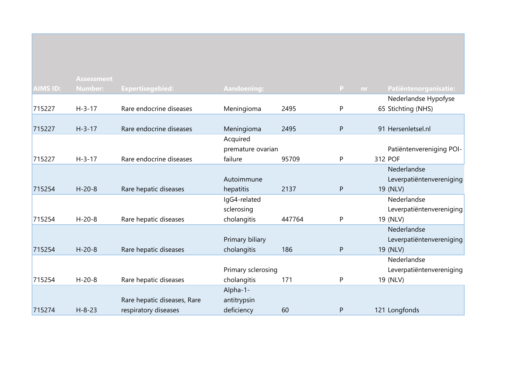|                 | <b>Assessment</b> |                             |                    |        |              |                          |
|-----------------|-------------------|-----------------------------|--------------------|--------|--------------|--------------------------|
| <b>AIMS ID:</b> | <b>Number:</b>    | <b>Expertisegebied:</b>     | Aandoening:        |        | P<br>nr.     | Patiëntenorganisatie:    |
|                 |                   |                             |                    |        |              | Nederlandse Hypofyse     |
| 715227          | $H - 3 - 17$      | Rare endocrine diseases     | Meningioma         | 2495   | P            | 65 Stichting (NHS)       |
|                 |                   |                             |                    |        |              |                          |
| 715227          | $H - 3 - 17$      | Rare endocrine diseases     | Meningioma         | 2495   | $\mathsf{P}$ | 91 Hersenletsel.nl       |
|                 |                   |                             | Acquired           |        |              |                          |
|                 |                   |                             | premature ovarian  |        |              | Patiëntenvereniging POI- |
| 715227          | $H - 3 - 17$      | Rare endocrine diseases     | failure            | 95709  | P            | 312 POF                  |
|                 |                   |                             |                    |        |              | Nederlandse              |
|                 |                   |                             | Autoimmune         |        |              | Leverpatiëntenvereniging |
| 715254          | $H - 20 - 8$      | Rare hepatic diseases       | hepatitis          | 2137   | $\mathsf{P}$ | 19 (NLV)                 |
|                 |                   |                             | IgG4-related       |        |              | Nederlandse              |
|                 |                   |                             | sclerosing         |        |              | Leverpatiëntenvereniging |
| 715254          | $H - 20 - 8$      | Rare hepatic diseases       | cholangitis        | 447764 | P            | 19 (NLV)                 |
|                 |                   |                             |                    |        |              | Nederlandse              |
|                 |                   |                             | Primary biliary    |        |              | Leverpatiëntenvereniging |
| 715254          | $H - 20 - 8$      | Rare hepatic diseases       | cholangitis        | 186    | $\mathsf{P}$ | 19 (NLV)                 |
|                 |                   |                             |                    |        |              | Nederlandse              |
|                 |                   |                             | Primary sclerosing |        |              | Leverpatiëntenvereniging |
| 715254          | $H - 20 - 8$      | Rare hepatic diseases       | cholangitis        | 171    | P            | 19 (NLV)                 |
|                 |                   |                             | Alpha-1-           |        |              |                          |
|                 |                   | Rare hepatic diseases, Rare | antitrypsin        |        |              |                          |
| 715274          | $H - 8 - 23$      | respiratory diseases        | deficiency         | 60     | $\mathsf{P}$ | 121 Longfonds            |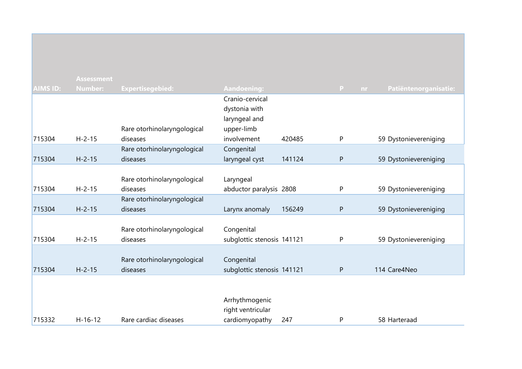|                 | <b>Assessment</b> |                                         |                              |        |                    |                       |
|-----------------|-------------------|-----------------------------------------|------------------------------|--------|--------------------|-----------------------|
| <b>AIMS ID:</b> | <b>Number:</b>    | <b>Expertisegebied:</b>                 | <b>Aandoening:</b>           |        | $\mathbf{P}$<br>nr | Patiëntenorganisatie: |
|                 |                   |                                         | Cranio-cervical              |        |                    |                       |
|                 |                   |                                         | dystonia with                |        |                    |                       |
|                 |                   |                                         | laryngeal and                |        |                    |                       |
|                 |                   | Rare otorhinolaryngological             | upper-limb                   |        |                    |                       |
| 715304          | $H - 2 - 15$      | diseases                                | involvement                  | 420485 | P                  | 59 Dystonievereniging |
| 715304          | $H - 2 - 15$      | Rare otorhinolaryngological<br>diseases | Congenital<br>laryngeal cyst | 141124 | ${\sf P}$          | 59 Dystonievereniging |
|                 |                   |                                         |                              |        |                    |                       |
|                 |                   | Rare otorhinolaryngological             | Laryngeal                    |        |                    |                       |
| 715304          | $H - 2 - 15$      | diseases                                | abductor paralysis 2808      |        | P                  | 59 Dystonievereniging |
|                 |                   | Rare otorhinolaryngological             |                              |        |                    |                       |
| 715304          | $H - 2 - 15$      | diseases                                | Larynx anomaly               | 156249 | P                  | 59 Dystonievereniging |
|                 |                   |                                         |                              |        |                    |                       |
|                 |                   | Rare otorhinolaryngological             | Congenital                   |        |                    |                       |
| 715304          | $H - 2 - 15$      | diseases                                | subglottic stenosis 141121   |        | P                  | 59 Dystonievereniging |
|                 |                   | Rare otorhinolaryngological             | Congenital                   |        |                    |                       |
| 715304          | $H - 2 - 15$      | diseases                                | subglottic stenosis 141121   |        | P                  | 114 Care4Neo          |
|                 |                   |                                         |                              |        |                    |                       |
|                 |                   |                                         |                              |        |                    |                       |
|                 |                   |                                         | Arrhythmogenic               |        |                    |                       |
|                 |                   |                                         | right ventricular            |        |                    |                       |
| 715332          | $H-16-12$         | Rare cardiac diseases                   | cardiomyopathy               | 247    | $\mathsf{P}$       | 58 Harteraad          |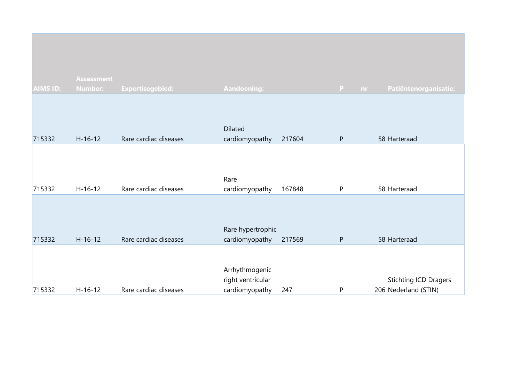|          | <b>Assessment</b> |                         |                                                       |        |                |                                                      |
|----------|-------------------|-------------------------|-------------------------------------------------------|--------|----------------|------------------------------------------------------|
| AIMS ID: | <b>Number:</b>    | <b>Expertisegebied:</b> | Aandoening:                                           |        | P<br><b>nr</b> | Patiëntenorganisatie:                                |
| 715332   | $H-16-12$         | Rare cardiac diseases   | <b>Dilated</b><br>cardiomyopathy                      | 217604 | ${\sf P}$      | 58 Harteraad                                         |
| 715332   | $H-16-12$         | Rare cardiac diseases   | Rare<br>cardiomyopathy                                | 167848 | P              | 58 Harteraad                                         |
| 715332   | $H - 16 - 12$     | Rare cardiac diseases   | Rare hypertrophic<br>cardiomyopathy                   | 217569 | $\mathsf{P}$   | 58 Harteraad                                         |
| 715332   | $H-16-12$         | Rare cardiac diseases   | Arrhythmogenic<br>right ventricular<br>cardiomyopathy | 247    | P              | <b>Stichting ICD Dragers</b><br>206 Nederland (STIN) |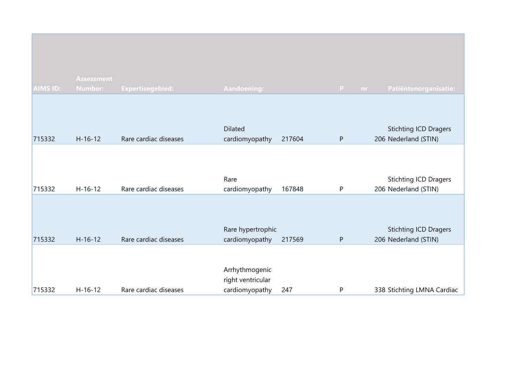|                 | <b>Assessment</b> |                         |                                                       |        |                     |                                                      |
|-----------------|-------------------|-------------------------|-------------------------------------------------------|--------|---------------------|------------------------------------------------------|
| <b>AIMS ID:</b> | <b>Number:</b>    | <b>Expertisegebied:</b> | <b>Aandoening:</b>                                    |        | $\mathbf{P}$<br>nr. | Patiëntenorganisatie:                                |
| 715332          | $H-16-12$         | Rare cardiac diseases   | <b>Dilated</b><br>cardiomyopathy                      | 217604 | P                   | <b>Stichting ICD Dragers</b><br>206 Nederland (STIN) |
| 715332          | $H-16-12$         | Rare cardiac diseases   | Rare<br>cardiomyopathy                                | 167848 | P                   | <b>Stichting ICD Dragers</b><br>206 Nederland (STIN) |
| 715332          | $H-16-12$         | Rare cardiac diseases   | Rare hypertrophic<br>cardiomyopathy                   | 217569 | P                   | <b>Stichting ICD Dragers</b><br>206 Nederland (STIN) |
| 715332          | $H-16-12$         | Rare cardiac diseases   | Arrhythmogenic<br>right ventricular<br>cardiomyopathy | 247    | P                   | 338 Stichting LMNA Cardiac                           |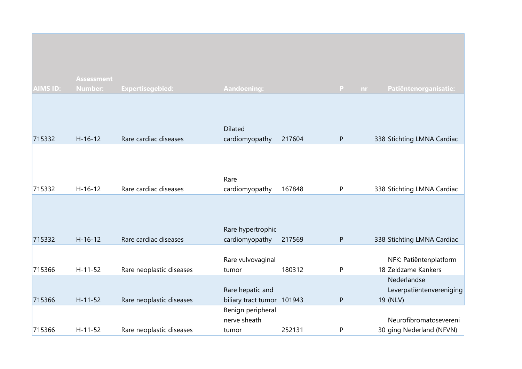| <b>AIMS ID:</b> | <b>Assessment</b><br><b>Number:</b> | <b>Expertisegebied:</b>  | <b>Aandoening:</b>                             |        | P         | Patiëntenorganisatie:<br>nr.                        |
|-----------------|-------------------------------------|--------------------------|------------------------------------------------|--------|-----------|-----------------------------------------------------|
| 715332          | $H-16-12$                           | Rare cardiac diseases    | <b>Dilated</b><br>cardiomyopathy               | 217604 | P         | 338 Stichting LMNA Cardiac                          |
| 715332          | $H-16-12$                           | Rare cardiac diseases    | Rare<br>cardiomyopathy                         | 167848 | P         | 338 Stichting LMNA Cardiac                          |
| 715332          | $H-16-12$                           | Rare cardiac diseases    | Rare hypertrophic<br>cardiomyopathy            | 217569 | ${\sf P}$ | 338 Stichting LMNA Cardiac                          |
| 715366          | $H-11-52$                           | Rare neoplastic diseases | Rare vulvovaginal<br>tumor                     | 180312 | P         | NFK: Patiëntenplatform<br>18 Zeldzame Kankers       |
| 715366          | $H - 11 - 52$                       | Rare neoplastic diseases | Rare hepatic and<br>biliary tract tumor 101943 |        | ${\sf P}$ | Nederlandse<br>Leverpatiëntenvereniging<br>19 (NLV) |
| 715366          | $H - 11 - 52$                       | Rare neoplastic diseases | Benign peripheral<br>nerve sheath<br>tumor     | 252131 | P         | Neurofibromatosevereni<br>30 ging Nederland (NFVN)  |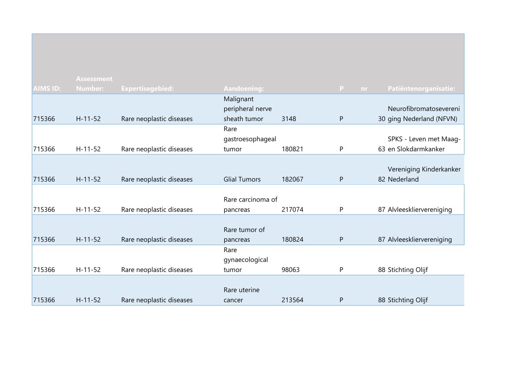|                 | <b>Assessment</b> |                          |                     |        |              |                           |
|-----------------|-------------------|--------------------------|---------------------|--------|--------------|---------------------------|
| <b>AIMS ID:</b> | <b>Number:</b>    | <b>Expertisegebied:</b>  | <b>Aandoening:</b>  |        | P.<br>nr     | Patiëntenorganisatie:     |
|                 |                   |                          | Malignant           |        |              |                           |
|                 |                   |                          | peripheral nerve    |        |              | Neurofibromatosevereni    |
| 715366          | $H - 11 - 52$     | Rare neoplastic diseases | sheath tumor        | 3148   | $\mathsf{P}$ | 30 ging Nederland (NFVN)  |
|                 |                   |                          | Rare                |        |              |                           |
|                 |                   |                          | gastroesophageal    |        |              | SPKS - Leven met Maag-    |
| 715366          | $H-11-52$         | Rare neoplastic diseases | tumor               | 180821 | P            | 63 en Slokdarmkanker      |
|                 |                   |                          |                     |        |              |                           |
|                 |                   |                          |                     |        |              | Vereniging Kinderkanker   |
| 715366          | $H - 11 - 52$     | Rare neoplastic diseases | <b>Glial Tumors</b> | 182067 | P            | 82 Nederland              |
|                 |                   |                          |                     |        |              |                           |
|                 |                   |                          | Rare carcinoma of   |        |              |                           |
| 715366          | $H-11-52$         | Rare neoplastic diseases | pancreas            | 217074 | P            | 87 Alvleeskliervereniging |
|                 |                   |                          |                     |        |              |                           |
|                 |                   |                          | Rare tumor of       |        |              |                           |
| 715366          | $H - 11 - 52$     | Rare neoplastic diseases | pancreas            | 180824 | $\mathsf{P}$ | 87 Alvleeskliervereniging |
|                 |                   |                          | Rare                |        |              |                           |
|                 |                   |                          | gynaecological      |        |              |                           |
| 715366          | $H-11-52$         | Rare neoplastic diseases | tumor               | 98063  | P            | 88 Stichting Olijf        |
|                 |                   |                          |                     |        |              |                           |
|                 |                   |                          | Rare uterine        |        |              |                           |
| 715366          | $H - 11 - 52$     | Rare neoplastic diseases | cancer              | 213564 | P            | 88 Stichting Olijf        |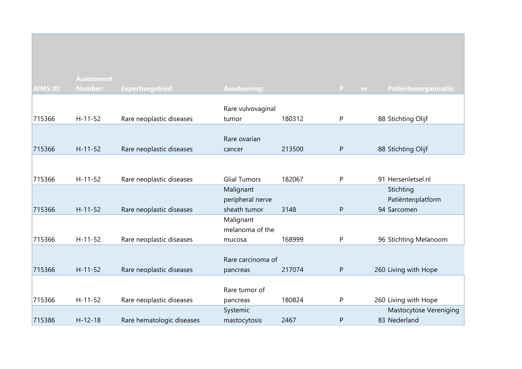|                 | <b>Assessment</b> |                           |                     |        |              |                               |
|-----------------|-------------------|---------------------------|---------------------|--------|--------------|-------------------------------|
| <b>AIMS ID:</b> | <b>Number:</b>    | <b>Expertisegebied:</b>   | Aandoening:         |        | P<br>nr.     | Patiëntenorganisatie:         |
|                 |                   |                           |                     |        |              |                               |
|                 |                   |                           | Rare vulvovaginal   |        |              |                               |
| 715366          | $H - 11 - 52$     | Rare neoplastic diseases  | tumor               | 180312 | P            | 88 Stichting Olijf            |
|                 |                   |                           |                     |        |              |                               |
|                 |                   |                           | Rare ovarian        |        |              |                               |
| 715366          | $H - 11 - 52$     | Rare neoplastic diseases  | cancer              | 213500 | ${\sf P}$    | 88 Stichting Olijf            |
|                 |                   |                           |                     |        |              |                               |
|                 |                   |                           |                     |        |              |                               |
| 715366          | $H - 11 - 52$     | Rare neoplastic diseases  | <b>Glial Tumors</b> | 182067 | P            | 91 Hersenletsel.nl            |
|                 |                   |                           | Malignant           |        |              | Stichting                     |
|                 |                   |                           | peripheral nerve    |        |              | Patiëntenplatform             |
| 715366          | $H - 11 - 52$     | Rare neoplastic diseases  | sheath tumor        | 3148   | $\mathsf{P}$ | 94 Sarcomen                   |
|                 |                   |                           | Malignant           |        |              |                               |
|                 |                   |                           | melanoma of the     |        |              |                               |
| 715366          | $H-11-52$         | Rare neoplastic diseases  | mucosa              | 168999 | P            | 96 Stichting Melanoom         |
|                 |                   |                           |                     |        |              |                               |
|                 |                   |                           | Rare carcinoma of   |        |              |                               |
| 715366          | $H - 11 - 52$     | Rare neoplastic diseases  | pancreas            | 217074 | P            | 260 Living with Hope          |
|                 |                   |                           |                     |        |              |                               |
|                 |                   |                           | Rare tumor of       |        |              |                               |
| 715366          | $H-11-52$         | Rare neoplastic diseases  | pancreas            | 180824 | P            | 260 Living with Hope          |
|                 |                   |                           | Systemic            |        |              | <b>Mastocytose Vereniging</b> |
| 715386          | $H-12-18$         | Rare hematologic diseases | mastocytosis        | 2467   | P            | 83 Nederland                  |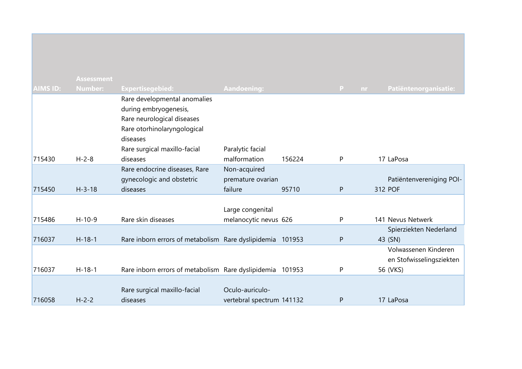|                 | <b>Assessment</b> |                                                                                                                                                                            |                                              |        |              |     |                                                  |
|-----------------|-------------------|----------------------------------------------------------------------------------------------------------------------------------------------------------------------------|----------------------------------------------|--------|--------------|-----|--------------------------------------------------|
| <b>AIMS ID:</b> | <b>Number:</b>    | <b>Expertisegebied:</b>                                                                                                                                                    | <b>Aandoening:</b>                           |        | P            | nr. | Patiëntenorganisatie:                            |
| 715430          | $H - 2 - 8$       | Rare developmental anomalies<br>during embryogenesis,<br>Rare neurological diseases<br>Rare otorhinolaryngological<br>diseases<br>Rare surgical maxillo-facial<br>diseases | Paralytic facial<br>malformation             | 156224 | P            |     | 17 LaPosa                                        |
|                 |                   | Rare endocrine diseases, Rare                                                                                                                                              | Non-acquired                                 |        |              |     |                                                  |
|                 |                   | gynecologic and obstetric                                                                                                                                                  | premature ovarian                            |        |              |     | Patiëntenvereniging POI-                         |
| 715450          | $H - 3 - 18$      | diseases                                                                                                                                                                   | failure                                      | 95710  | $\mathsf{P}$ |     | 312 POF                                          |
| 715486          | $H-10-9$          | Rare skin diseases                                                                                                                                                         | Large congenital                             |        | P            |     | 141 Nevus Netwerk                                |
|                 |                   |                                                                                                                                                                            | melanocytic nevus 626                        |        |              |     | Spierziekten Nederland                           |
| 716037          | $H-18-1$          | Rare inborn errors of metabolism Rare dyslipidemia 101953                                                                                                                  |                                              |        | ${\sf P}$    |     | 43 (SN)                                          |
|                 |                   |                                                                                                                                                                            |                                              |        |              |     | Volwassenen Kinderen<br>en Stofwisselingsziekten |
| 716037          | $H-18-1$          | Rare inborn errors of metabolism Rare dyslipidemia 101953                                                                                                                  |                                              |        | P            |     | 56 (VKS)                                         |
| 716058          | $H - 2 - 2$       | Rare surgical maxillo-facial<br>diseases                                                                                                                                   | Oculo-auriculo-<br>vertebral spectrum 141132 |        | P            |     | 17 LaPosa                                        |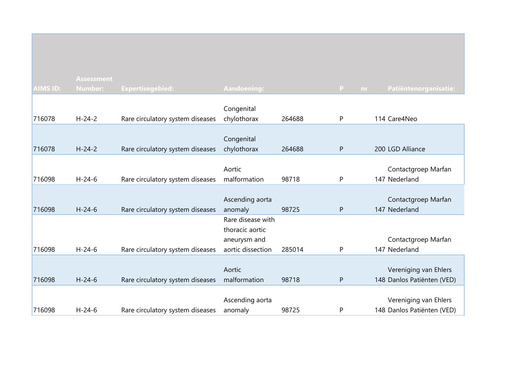|                 | <b>Assessment</b> |                                  |                   |        |           |                            |
|-----------------|-------------------|----------------------------------|-------------------|--------|-----------|----------------------------|
| <b>AIMS ID:</b> | <b>Number:</b>    | <b>Expertisegebied:</b>          | Aandoening:       |        | P<br>nr.  | Patiëntenorganisatie:      |
|                 |                   |                                  |                   |        |           |                            |
|                 |                   |                                  | Congenital        |        |           |                            |
| 716078          | $H - 24 - 2$      | Rare circulatory system diseases | chylothorax       | 264688 | P         | 114 Care4Neo               |
|                 |                   |                                  |                   |        |           |                            |
|                 |                   |                                  | Congenital        |        |           |                            |
| 716078          | $H - 24 - 2$      | Rare circulatory system diseases | chylothorax       | 264688 | ${\sf P}$ | 200 LGD Alliance           |
|                 |                   |                                  |                   |        |           |                            |
|                 |                   |                                  | Aortic            |        |           | Contactgroep Marfan        |
| 716098          | $H - 24 - 6$      | Rare circulatory system diseases | malformation      | 98718  | P         | 147 Nederland              |
|                 |                   |                                  |                   |        |           |                            |
|                 |                   |                                  | Ascending aorta   |        |           | Contactgroep Marfan        |
| 716098          | $H - 24 - 6$      | Rare circulatory system diseases | anomaly           | 98725  | ${\sf P}$ | 147 Nederland              |
|                 |                   |                                  | Rare disease with |        |           |                            |
|                 |                   |                                  | thoracic aortic   |        |           |                            |
|                 |                   |                                  | aneurysm and      |        |           | Contactgroep Marfan        |
| 716098          | $H - 24 - 6$      | Rare circulatory system diseases | aortic dissection | 285014 | P         | 147 Nederland              |
|                 |                   |                                  |                   |        |           |                            |
|                 |                   |                                  | Aortic            |        |           | Vereniging van Ehlers      |
| 716098          | $H - 24 - 6$      | Rare circulatory system diseases | malformation      | 98718  | ${\sf P}$ | 148 Danlos Patiënten (VED) |
|                 |                   |                                  |                   |        |           |                            |
|                 |                   |                                  | Ascending aorta   |        |           | Vereniging van Ehlers      |
| 716098          | $H - 24 - 6$      | Rare circulatory system diseases | anomaly           | 98725  | P         | 148 Danlos Patiënten (VED) |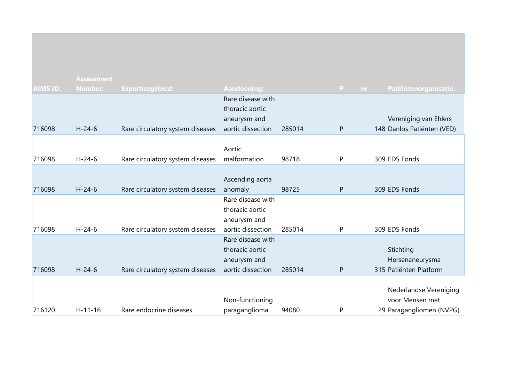|                 | <b>Assessment</b> |                                  |                   |        |              |           |                            |
|-----------------|-------------------|----------------------------------|-------------------|--------|--------------|-----------|----------------------------|
| <b>AIMS ID:</b> | <b>Number:</b>    | <b>Expertisegebied:</b>          | Aandoening:       |        | $\mathbf{P}$ | <b>nr</b> | Patiëntenorganisatie:      |
|                 |                   |                                  | Rare disease with |        |              |           |                            |
|                 |                   |                                  | thoracic aortic   |        |              |           |                            |
|                 |                   |                                  | aneurysm and      |        |              |           | Vereniging van Ehlers      |
| 716098          | $H - 24 - 6$      | Rare circulatory system diseases | aortic dissection | 285014 | $\mathsf{P}$ |           | 148 Danlos Patiënten (VED) |
|                 |                   |                                  |                   |        |              |           |                            |
|                 |                   |                                  | Aortic            |        |              |           |                            |
| 716098          | $H - 24 - 6$      | Rare circulatory system diseases | malformation      | 98718  | P            |           | 309 EDS Fonds              |
|                 |                   |                                  |                   |        |              |           |                            |
|                 |                   |                                  | Ascending aorta   |        |              |           |                            |
| 716098          | $H - 24 - 6$      | Rare circulatory system diseases | anomaly           | 98725  | P            |           | 309 EDS Fonds              |
|                 |                   |                                  | Rare disease with |        |              |           |                            |
|                 |                   |                                  | thoracic aortic   |        |              |           |                            |
|                 |                   |                                  | aneurysm and      |        |              |           |                            |
| 716098          | $H - 24 - 6$      | Rare circulatory system diseases | aortic dissection | 285014 | P            |           | 309 EDS Fonds              |
|                 |                   |                                  | Rare disease with |        |              |           |                            |
|                 |                   |                                  | thoracic aortic   |        |              |           | Stichting                  |
|                 |                   |                                  | aneurysm and      |        |              |           | Hersenaneurysma            |
| 716098          | $H - 24 - 6$      | Rare circulatory system diseases | aortic dissection | 285014 | P            |           | 315 Patiënten Platform     |
|                 |                   |                                  |                   |        |              |           |                            |
|                 |                   |                                  |                   |        |              |           | Nederlandse Vereniging     |
|                 |                   |                                  | Non-functioning   |        |              |           | voor Mensen met            |
| 716120          | $H-11-16$         | Rare endocrine diseases          | paraganglioma     | 94080  | P            |           | 29 Paragangliomen (NVPG)   |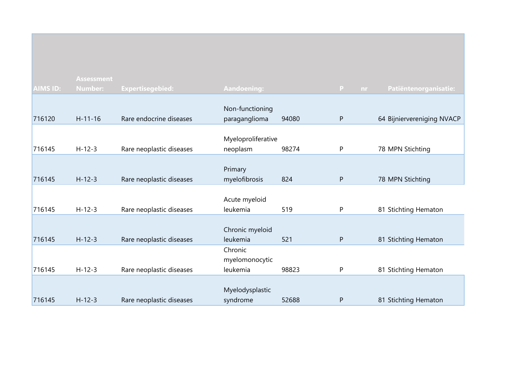|                 | <b>Assessment</b> |                          |                                  |       |           |                            |
|-----------------|-------------------|--------------------------|----------------------------------|-------|-----------|----------------------------|
| <b>AIMS ID:</b> | <b>Number:</b>    | <b>Expertisegebied:</b>  | <b>Aandoening:</b>               |       | P<br>nr.  | Patiëntenorganisatie:      |
|                 |                   |                          |                                  |       |           |                            |
| 716120          | $H - 11 - 16$     | Rare endocrine diseases  | Non-functioning<br>paraganglioma | 94080 | ${\sf P}$ | 64 Bijniervereniging NVACP |
|                 |                   |                          |                                  |       |           |                            |
|                 |                   |                          | Myeloproliferative               |       |           |                            |
| 716145          | $H-12-3$          | Rare neoplastic diseases | neoplasm                         | 98274 | P         | 78 MPN Stichting           |
|                 |                   |                          |                                  |       |           |                            |
|                 |                   |                          | Primary                          |       |           |                            |
| 716145          | $H - 12 - 3$      | Rare neoplastic diseases | myelofibrosis                    | 824   | P         | 78 MPN Stichting           |
|                 |                   |                          |                                  |       |           |                            |
|                 |                   |                          | Acute myeloid                    |       |           |                            |
| 716145          | $H-12-3$          | Rare neoplastic diseases | leukemia                         | 519   | P         | 81 Stichting Hematon       |
|                 |                   |                          |                                  |       |           |                            |
| 716145          | $H - 12 - 3$      | Rare neoplastic diseases | Chronic myeloid<br>leukemia      | 521   | P         | 81 Stichting Hematon       |
|                 |                   |                          | Chronic                          |       |           |                            |
|                 |                   |                          | myelomonocytic                   |       |           |                            |
| 716145          | $H-12-3$          | Rare neoplastic diseases | leukemia                         | 98823 | P         | 81 Stichting Hematon       |
|                 |                   |                          |                                  |       |           |                            |
|                 |                   |                          | Myelodysplastic                  |       |           |                            |
| 716145          | $H - 12 - 3$      | Rare neoplastic diseases | syndrome                         | 52688 | P         | 81 Stichting Hematon       |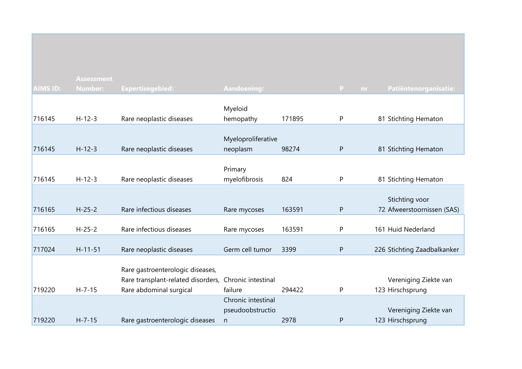|                 | <b>Assessment</b> |                                                               |                      |        |           |                                           |
|-----------------|-------------------|---------------------------------------------------------------|----------------------|--------|-----------|-------------------------------------------|
| <b>AIMS ID:</b> | <b>Number:</b>    | <b>Expertisegebied:</b>                                       | <b>Aandoening:</b>   |        | P<br>nr.  | Patiëntenorganisatie:                     |
|                 |                   |                                                               |                      |        |           |                                           |
| 716145          | $H-12-3$          | Rare neoplastic diseases                                      | Myeloid<br>hemopathy | 171895 | P         | 81 Stichting Hematon                      |
|                 |                   |                                                               |                      |        |           |                                           |
|                 |                   |                                                               | Myeloproliferative   |        |           |                                           |
| 716145          | $H - 12 - 3$      | Rare neoplastic diseases                                      | neoplasm             | 98274  | ${\sf P}$ | 81 Stichting Hematon                      |
|                 |                   |                                                               |                      |        |           |                                           |
|                 |                   |                                                               | Primary              |        |           |                                           |
| 716145          | $H-12-3$          | Rare neoplastic diseases                                      | myelofibrosis        | 824    | P         | 81 Stichting Hematon                      |
|                 |                   |                                                               |                      |        |           | Stichting voor                            |
| 716165          | $H - 25 - 2$      | Rare infectious diseases                                      | Rare mycoses         | 163591 | P         | 72 Afweerstoornissen (SAS)                |
|                 |                   |                                                               |                      |        |           |                                           |
| 716165          | $H - 25 - 2$      | Rare infectious diseases                                      | Rare mycoses         | 163591 | ${\sf P}$ | 161 Huid Nederland                        |
|                 |                   |                                                               |                      |        |           |                                           |
| 717024          | $H - 11 - 51$     | Rare neoplastic diseases                                      | Germ cell tumor      | 3399   | ${\sf P}$ | 226 Stichting Zaadbalkanker               |
|                 |                   |                                                               |                      |        |           |                                           |
|                 |                   | Rare gastroenterologic diseases,                              | Chronic intestinal   |        |           |                                           |
| 719220          | $H - 7 - 15$      | Rare transplant-related disorders,<br>Rare abdominal surgical | failure              | 294422 | P         | Vereniging Ziekte van<br>123 Hirschsprung |
|                 |                   |                                                               | Chronic intestinal   |        |           |                                           |
|                 |                   |                                                               | pseudoobstructio     |        |           | Vereniging Ziekte van                     |
| 719220          | $H - 7 - 15$      | Rare gastroenterologic diseases                               | n                    | 2978   | ${\sf P}$ | 123 Hirschsprung                          |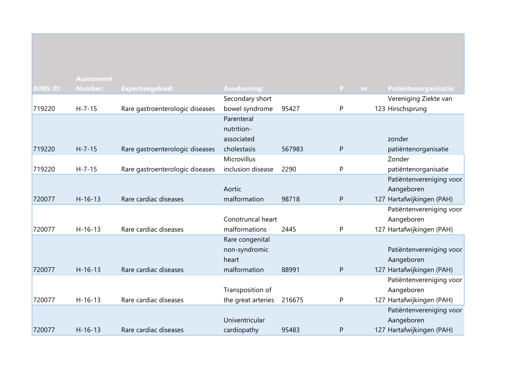| <b>AIMS ID:</b> | <b>Assessment</b><br><b>Number:</b> | <b>Expertisegebied:</b>         | <b>Aandoening:</b> |        | P.           | Patiëntenorganisatie:<br>nr. |
|-----------------|-------------------------------------|---------------------------------|--------------------|--------|--------------|------------------------------|
|                 |                                     |                                 | Secondary short    |        |              | Vereniging Ziekte van        |
| 719220          | $H - 7 - 15$                        | Rare gastroenterologic diseases | bowel syndrome     | 95427  | P            | 123 Hirschsprung             |
|                 |                                     |                                 | Parenteral         |        |              |                              |
|                 |                                     |                                 | nutrition-         |        |              |                              |
|                 |                                     |                                 | associated         |        |              | zonder                       |
| 719220          | $H - 7 - 15$                        | Rare gastroenterologic diseases | cholestasis        | 567983 | $\mathsf{P}$ | patiëntenorganisatie         |
|                 |                                     |                                 | Microvillus        |        |              | Zonder                       |
| 719220          | $H - 7 - 15$                        | Rare gastroenterologic diseases | inclusion disease  | 2290   | P            | patiëntenorganisatie         |
|                 |                                     |                                 |                    |        |              | Patiëntenvereniging voor     |
|                 |                                     |                                 | Aortic             |        |              | Aangeboren                   |
| 720077          | $H - 16 - 13$                       | Rare cardiac diseases           | malformation       | 98718  | ${\sf P}$    | 127 Hartafwijkingen (PAH)    |
|                 |                                     |                                 |                    |        |              | Patiëntenvereniging voor     |
|                 |                                     |                                 | Conotruncal heart  |        |              | Aangeboren                   |
| 720077          | $H - 16 - 13$                       | Rare cardiac diseases           | malformations      | 2445   | P            | 127 Hartafwijkingen (PAH)    |
|                 |                                     |                                 | Rare congenital    |        |              |                              |
|                 |                                     |                                 | non-syndromic      |        |              | Patiëntenvereniging voor     |
|                 |                                     |                                 | heart              |        |              | Aangeboren                   |
| 720077          | $H - 16 - 13$                       | Rare cardiac diseases           | malformation       | 88991  | ${\sf P}$    | 127 Hartafwijkingen (PAH)    |
|                 |                                     |                                 |                    |        |              | Patiëntenvereniging voor     |
|                 |                                     |                                 | Transposition of   |        |              | Aangeboren                   |
| 720077          | $H-16-13$                           | Rare cardiac diseases           | the great arteries | 216675 | P            | 127 Hartafwijkingen (PAH)    |
|                 |                                     |                                 |                    |        |              | Patiëntenvereniging voor     |
|                 |                                     |                                 | Univentricular     |        |              | Aangeboren                   |
| 720077          | $H-16-13$                           | Rare cardiac diseases           | cardiopathy        | 95483  | P            | 127 Hartafwijkingen (PAH)    |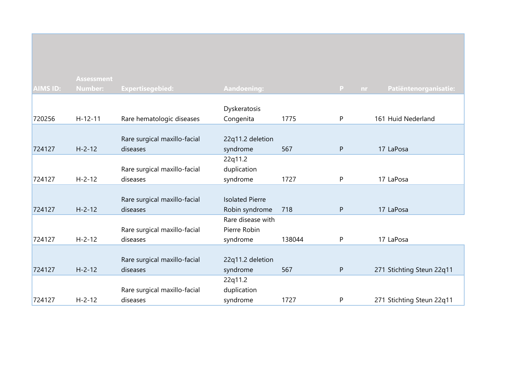|                 | <b>Assessment</b> |                              |                        |        |              |                             |
|-----------------|-------------------|------------------------------|------------------------|--------|--------------|-----------------------------|
| <b>AIMS ID:</b> | <b>Number:</b>    | <b>Expertisegebied:</b>      | Aandoening:            |        | P.           | Patiëntenorganisatie:<br>nr |
|                 |                   |                              |                        |        |              |                             |
|                 |                   |                              | Dyskeratosis           |        |              |                             |
| 720256          | $H-12-11$         | Rare hematologic diseases    | Congenita              | 1775   | $\mathsf{P}$ | 161 Huid Nederland          |
|                 |                   |                              |                        |        |              |                             |
|                 |                   | Rare surgical maxillo-facial | 22q11.2 deletion       |        |              |                             |
| 724127          | $H - 2 - 12$      | diseases                     | syndrome               | 567    | ${\sf P}$    | 17 LaPosa                   |
|                 |                   |                              | 22q11.2                |        |              |                             |
|                 |                   | Rare surgical maxillo-facial | duplication            |        |              |                             |
| 724127          | $H - 2 - 12$      | diseases                     | syndrome               | 1727   | $\mathsf{P}$ | 17 LaPosa                   |
|                 |                   |                              |                        |        |              |                             |
|                 |                   | Rare surgical maxillo-facial | <b>Isolated Pierre</b> |        |              |                             |
| 724127          | $H - 2 - 12$      | diseases                     | Robin syndrome         | 718    | $\mathsf{P}$ | 17 LaPosa                   |
|                 |                   |                              | Rare disease with      |        |              |                             |
|                 |                   | Rare surgical maxillo-facial | Pierre Robin           |        |              |                             |
| 724127          | $H - 2 - 12$      | diseases                     | syndrome               | 138044 | P            | 17 LaPosa                   |
|                 |                   |                              |                        |        |              |                             |
|                 |                   | Rare surgical maxillo-facial | 22q11.2 deletion       |        |              |                             |
| 724127          | $H - 2 - 12$      | diseases                     | syndrome               | 567    | ${\sf P}$    | 271 Stichting Steun 22q11   |
|                 |                   |                              | 22q11.2                |        |              |                             |
|                 |                   | Rare surgical maxillo-facial | duplication            |        |              |                             |
| 724127          | $H - 2 - 12$      | diseases                     | syndrome               | 1727   | P            | 271 Stichting Steun 22q11   |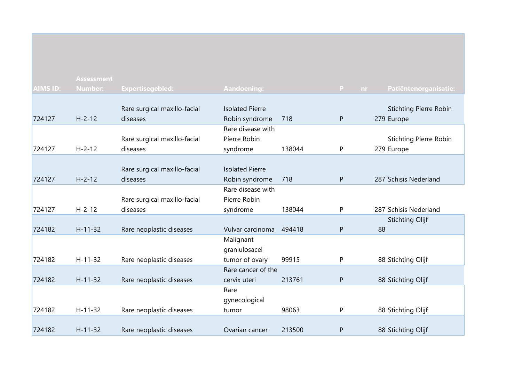|                 | <b>Assessment</b> |                              |                        |        |              |                               |
|-----------------|-------------------|------------------------------|------------------------|--------|--------------|-------------------------------|
| <b>AIMS ID:</b> | <b>Number:</b>    | <b>Expertisegebied:</b>      | Aandoening:            |        | P<br>nr.     | Patiëntenorganisatie:         |
|                 |                   |                              |                        |        |              |                               |
|                 |                   | Rare surgical maxillo-facial | <b>Isolated Pierre</b> |        |              | <b>Stichting Pierre Robin</b> |
| 724127          | $H - 2 - 12$      | diseases                     | Robin syndrome         | 718    | ${\sf P}$    | 279 Europe                    |
|                 |                   |                              | Rare disease with      |        |              |                               |
|                 |                   | Rare surgical maxillo-facial | Pierre Robin           |        |              | <b>Stichting Pierre Robin</b> |
| 724127          | $H - 2 - 12$      | diseases                     | syndrome               | 138044 | P            | 279 Europe                    |
|                 |                   |                              |                        |        |              |                               |
|                 |                   | Rare surgical maxillo-facial | <b>Isolated Pierre</b> |        |              |                               |
| 724127          | $H - 2 - 12$      | diseases                     | Robin syndrome         | 718    | P            | 287 Schisis Nederland         |
|                 |                   |                              | Rare disease with      |        |              |                               |
|                 |                   | Rare surgical maxillo-facial | Pierre Robin           |        |              |                               |
| 724127          | $H - 2 - 12$      | diseases                     | syndrome               | 138044 | P            | 287 Schisis Nederland         |
|                 |                   |                              |                        |        |              | <b>Stichting Olijf</b>        |
| 724182          | $H - 11 - 32$     | Rare neoplastic diseases     | Vulvar carcinoma       | 494418 | $\mathsf{P}$ | 88                            |
|                 |                   |                              | Malignant              |        |              |                               |
|                 |                   |                              | graniulosacel          |        |              |                               |
| 724182          | $H-11-32$         | Rare neoplastic diseases     | tumor of ovary         | 99915  | P            | 88 Stichting Olijf            |
|                 |                   |                              | Rare cancer of the     |        |              |                               |
| 724182          | $H - 11 - 32$     | Rare neoplastic diseases     | cervix uteri           | 213761 | ${\sf P}$    | 88 Stichting Olijf            |
|                 |                   |                              | Rare                   |        |              |                               |
|                 |                   |                              | gynecological          |        |              |                               |
| 724182          | $H - 11 - 32$     | Rare neoplastic diseases     | tumor                  | 98063  | $\mathsf{P}$ | 88 Stichting Olijf            |
|                 |                   |                              |                        |        |              |                               |
| 724182          | $H - 11 - 32$     | Rare neoplastic diseases     | Ovarian cancer         | 213500 | P            | 88 Stichting Olijf            |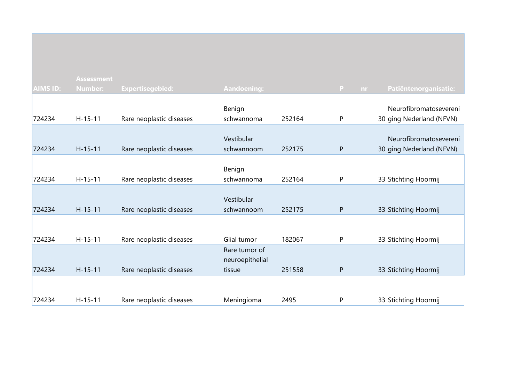|                 | <b>Assessment</b> |                          |                 |        |                     |                          |
|-----------------|-------------------|--------------------------|-----------------|--------|---------------------|--------------------------|
| <b>AIMS ID:</b> | Number:           | <b>Expertisegebied:</b>  | Aandoening:     |        | $\mathbf{P}$<br>nr. | Patiëntenorganisatie:    |
|                 |                   |                          |                 |        |                     |                          |
|                 |                   |                          | Benign          |        |                     | Neurofibromatosevereni   |
| 724234          | $H-15-11$         | Rare neoplastic diseases | schwannoma      | 252164 | ${\sf P}$           | 30 ging Nederland (NFVN) |
|                 |                   |                          |                 |        |                     |                          |
|                 |                   |                          | Vestibular      |        |                     | Neurofibromatosevereni   |
| 724234          | $H-15-11$         | Rare neoplastic diseases | schwannoom      | 252175 | P                   | 30 ging Nederland (NFVN) |
|                 |                   |                          |                 |        |                     |                          |
|                 |                   |                          | Benign          |        |                     |                          |
| 724234          | $H-15-11$         | Rare neoplastic diseases | schwannoma      | 252164 | P                   | 33 Stichting Hoormij     |
|                 |                   |                          |                 |        |                     |                          |
|                 |                   |                          | Vestibular      |        |                     |                          |
| 724234          | $H-15-11$         | Rare neoplastic diseases | schwannoom      | 252175 | ${\sf P}$           | 33 Stichting Hoormij     |
|                 |                   |                          |                 |        |                     |                          |
|                 |                   |                          |                 |        |                     |                          |
| 724234          | $H-15-11$         | Rare neoplastic diseases | Glial tumor     | 182067 | $\mathsf{P}$        | 33 Stichting Hoormij     |
|                 |                   |                          | Rare tumor of   |        |                     |                          |
|                 |                   |                          | neuroepithelial |        |                     |                          |
| 724234          | $H - 15 - 11$     | Rare neoplastic diseases | tissue          | 251558 | P                   | 33 Stichting Hoormij     |
|                 |                   |                          |                 |        |                     |                          |
|                 |                   |                          |                 |        |                     |                          |
| 724234          | $H - 15 - 11$     | Rare neoplastic diseases | Meningioma      | 2495   | $\mathsf{P}$        | 33 Stichting Hoormij     |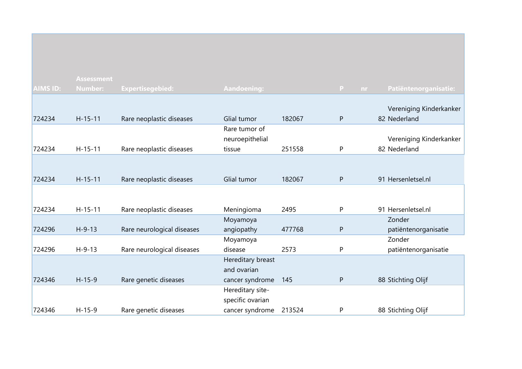|                 | <b>Assessment</b> |                            |                    |        |              |     |                         |
|-----------------|-------------------|----------------------------|--------------------|--------|--------------|-----|-------------------------|
| <b>AIMS ID:</b> | <b>Number:</b>    | <b>Expertisegebied:</b>    | <b>Aandoening:</b> |        | P            | nr. | Patiëntenorganisatie:   |
|                 |                   |                            |                    |        |              |     |                         |
|                 |                   |                            |                    |        |              |     | Vereniging Kinderkanker |
| 724234          | $H - 15 - 11$     | Rare neoplastic diseases   | Glial tumor        | 182067 | $\mathsf{P}$ |     | 82 Nederland            |
|                 |                   |                            | Rare tumor of      |        |              |     |                         |
|                 |                   |                            | neuroepithelial    |        |              |     | Vereniging Kinderkanker |
| 724234          | $H-15-11$         | Rare neoplastic diseases   | tissue             | 251558 | P            |     | 82 Nederland            |
|                 |                   |                            |                    |        |              |     |                         |
|                 |                   |                            |                    |        |              |     |                         |
| 724234          | $H - 15 - 11$     | Rare neoplastic diseases   | Glial tumor        | 182067 | $\mathsf{P}$ |     | 91 Hersenletsel.nl      |
|                 |                   |                            |                    |        |              |     |                         |
|                 |                   |                            |                    |        |              |     |                         |
| 724234          | $H - 15 - 11$     | Rare neoplastic diseases   | Meningioma         | 2495   | P            |     | 91 Hersenletsel.nl      |
|                 |                   |                            | Moyamoya           |        |              |     | Zonder                  |
| 724296          | $H - 9 - 13$      | Rare neurological diseases | angiopathy         | 477768 | P            |     | patiëntenorganisatie    |
|                 |                   |                            | Moyamoya           |        |              |     | Zonder                  |
| 724296          | $H - 9 - 13$      | Rare neurological diseases | disease            | 2573   | P            |     | patiëntenorganisatie    |
|                 |                   |                            | Hereditary breast  |        |              |     |                         |
|                 |                   |                            | and ovarian        |        |              |     |                         |
| 724346          | $H-15-9$          | Rare genetic diseases      | cancer syndrome    | 145    | P            |     | 88 Stichting Olijf      |
|                 |                   |                            | Hereditary site-   |        |              |     |                         |
|                 |                   |                            | specific ovarian   |        |              |     |                         |
| 724346          | $H-15-9$          | Rare genetic diseases      | cancer syndrome    | 213524 | P            |     | 88 Stichting Olijf      |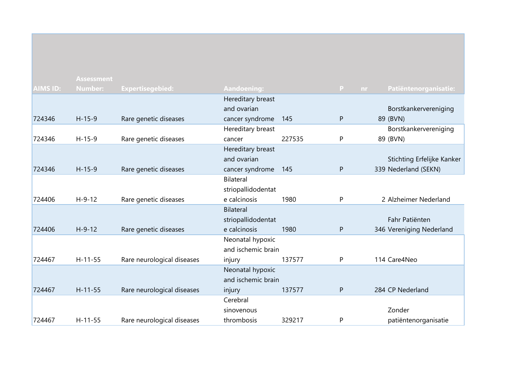|                 | <b>Assessment</b> |                            |                    |        |              |                            |
|-----------------|-------------------|----------------------------|--------------------|--------|--------------|----------------------------|
| <b>AIMS ID:</b> | <b>Number:</b>    | <b>Expertisegebied:</b>    | <b>Aandoening:</b> |        | P<br>nr.     | Patiëntenorganisatie:      |
|                 |                   |                            | Hereditary breast  |        |              |                            |
|                 |                   |                            | and ovarian        |        |              | Borstkankervereniging      |
| 724346          | $H-15-9$          | Rare genetic diseases      | cancer syndrome    | 145    | $\mathsf{P}$ | 89 (BVN)                   |
|                 |                   |                            | Hereditary breast  |        |              | Borstkankervereniging      |
| 724346          | $H-15-9$          | Rare genetic diseases      | cancer             | 227535 | P            | 89 (BVN)                   |
|                 |                   |                            | Hereditary breast  |        |              |                            |
|                 |                   |                            | and ovarian        |        |              | Stichting Erfelijke Kanker |
| 724346          | $H - 15 - 9$      | Rare genetic diseases      | cancer syndrome    | 145    | $\mathsf{P}$ | 339 Nederland (SEKN)       |
|                 |                   |                            | <b>Bilateral</b>   |        |              |                            |
|                 |                   |                            | striopallidodentat |        |              |                            |
| 724406          | $H-9-12$          | Rare genetic diseases      | e calcinosis       | 1980   | P            | 2 Alzheimer Nederland      |
|                 |                   |                            | Bilateral          |        |              |                            |
|                 |                   |                            | striopallidodentat |        |              | Fahr Patiënten             |
| 724406          | $H - 9 - 12$      | Rare genetic diseases      | e calcinosis       | 1980   | ${\sf P}$    | 346 Vereniging Nederland   |
|                 |                   |                            | Neonatal hypoxic   |        |              |                            |
|                 |                   |                            | and ischemic brain |        |              |                            |
| 724467          | $H-11-55$         | Rare neurological diseases | injury             | 137577 | P            | 114 Care4Neo               |
|                 |                   |                            | Neonatal hypoxic   |        |              |                            |
|                 |                   |                            | and ischemic brain |        |              |                            |
| 724467          | $H-11-55$         | Rare neurological diseases | injury             | 137577 | ${\sf P}$    | 284 CP Nederland           |
|                 |                   |                            | Cerebral           |        |              |                            |
|                 |                   |                            | sinovenous         |        |              | Zonder                     |
| 724467          | $H - 11 - 55$     | Rare neurological diseases | thrombosis         | 329217 | P            | patiëntenorganisatie       |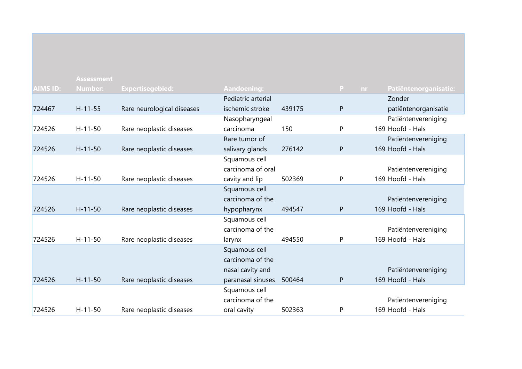|                 | <b>Assessment</b> |                            |                    |        |              |                       |
|-----------------|-------------------|----------------------------|--------------------|--------|--------------|-----------------------|
| <b>AIMS ID:</b> | <b>Number:</b>    | Expertisegebied:           | Aandoening:        |        | P.<br>nr     | Patiëntenorganisatie: |
|                 |                   |                            | Pediatric arterial |        |              | Zonder                |
| 724467          | $H-11-55$         | Rare neurological diseases | ischemic stroke    | 439175 | $\mathsf{P}$ | patiëntenorganisatie  |
|                 |                   |                            | Nasopharyngeal     |        |              | Patiëntenvereniging   |
| 724526          | $H-11-50$         | Rare neoplastic diseases   | carcinoma          | 150    | P            | 169 Hoofd - Hals      |
|                 |                   |                            | Rare tumor of      |        |              | Patiëntenvereniging   |
| 724526          | $H - 11 - 50$     | Rare neoplastic diseases   | salivary glands    | 276142 | ${\sf P}$    | 169 Hoofd - Hals      |
|                 |                   |                            | Squamous cell      |        |              |                       |
|                 |                   |                            | carcinoma of oral  |        |              | Patiëntenvereniging   |
| 724526          | $H - 11 - 50$     | Rare neoplastic diseases   | cavity and lip     | 502369 | P            | 169 Hoofd - Hals      |
|                 |                   |                            | Squamous cell      |        |              |                       |
|                 |                   |                            | carcinoma of the   |        |              | Patiëntenvereniging   |
| 724526          | $H - 11 - 50$     | Rare neoplastic diseases   | hypopharynx        | 494547 | P            | 169 Hoofd - Hals      |
|                 |                   |                            | Squamous cell      |        |              |                       |
|                 |                   |                            | carcinoma of the   |        |              | Patiëntenvereniging   |
| 724526          | $H - 11 - 50$     | Rare neoplastic diseases   | larynx             | 494550 | P            | 169 Hoofd - Hals      |
|                 |                   |                            | Squamous cell      |        |              |                       |
|                 |                   |                            | carcinoma of the   |        |              |                       |
|                 |                   |                            | nasal cavity and   |        |              | Patiëntenvereniging   |
| 724526          | $H - 11 - 50$     | Rare neoplastic diseases   | paranasal sinuses  | 500464 | $\mathsf{P}$ | 169 Hoofd - Hals      |
|                 |                   |                            | Squamous cell      |        |              |                       |
|                 |                   |                            | carcinoma of the   |        |              | Patiëntenvereniging   |
| 724526          | $H - 11 - 50$     | Rare neoplastic diseases   | oral cavity        | 502363 | P            | 169 Hoofd - Hals      |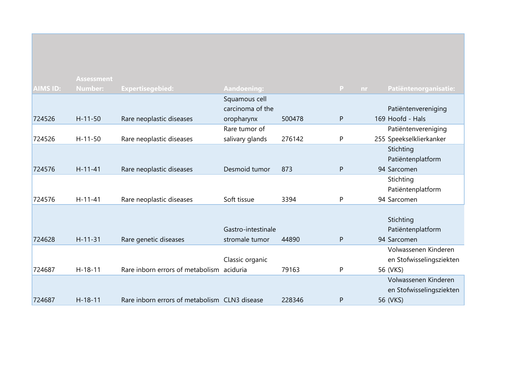|                 | <b>Assessment</b> |                                               |                    |        |              |                          |
|-----------------|-------------------|-----------------------------------------------|--------------------|--------|--------------|--------------------------|
| <b>AIMS ID:</b> | <b>Number:</b>    | <b>Expertisegebied:</b>                       | <b>Aandoening:</b> |        | P.<br>nr     | Patiëntenorganisatie:    |
|                 |                   |                                               | Squamous cell      |        |              |                          |
|                 |                   |                                               | carcinoma of the   |        |              | Patiëntenvereniging      |
| 724526          | $H - 11 - 50$     | Rare neoplastic diseases                      | oropharynx         | 500478 | P            | 169 Hoofd - Hals         |
|                 |                   |                                               | Rare tumor of      |        |              | Patiëntenvereniging      |
| 724526          | $H - 11 - 50$     | Rare neoplastic diseases                      | salivary glands    | 276142 | P            | 255 Speekselklierkanker  |
|                 |                   |                                               |                    |        |              | Stichting                |
|                 |                   |                                               |                    |        |              | Patiëntenplatform        |
| 724576          | $H - 11 - 41$     | Rare neoplastic diseases                      | Desmoid tumor      | 873    | P            | 94 Sarcomen              |
|                 |                   |                                               |                    |        |              | Stichting                |
|                 |                   |                                               |                    |        |              | Patiëntenplatform        |
| 724576          | $H - 11 - 41$     | Rare neoplastic diseases                      | Soft tissue        | 3394   | P            | 94 Sarcomen              |
|                 |                   |                                               |                    |        |              |                          |
|                 |                   |                                               |                    |        |              | Stichting                |
|                 |                   |                                               | Gastro-intestinale |        |              | Patiëntenplatform        |
| 724628          | $H - 11 - 31$     | Rare genetic diseases                         | stromale tumor     | 44890  | $\mathsf{P}$ | 94 Sarcomen              |
|                 |                   |                                               |                    |        |              | Volwassenen Kinderen     |
|                 |                   |                                               | Classic organic    |        |              | en Stofwisselingsziekten |
| 724687          | $H - 18 - 11$     | Rare inborn errors of metabolism aciduria     |                    | 79163  | P            | 56 (VKS)                 |
|                 |                   |                                               |                    |        |              | Volwassenen Kinderen     |
|                 |                   |                                               |                    |        |              | en Stofwisselingsziekten |
| 724687          | $H - 18 - 11$     | Rare inborn errors of metabolism CLN3 disease |                    | 228346 | P            | 56 (VKS)                 |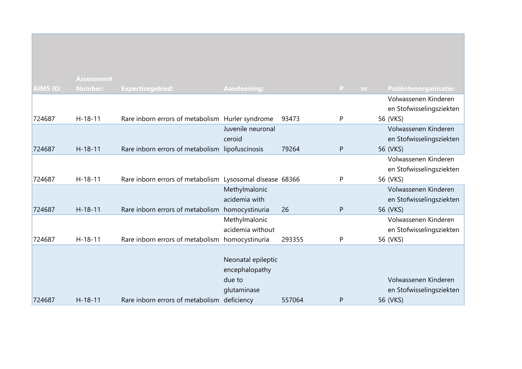|                 | <b>Assessment</b> |                                                  |                         |        |              |    |                          |
|-----------------|-------------------|--------------------------------------------------|-------------------------|--------|--------------|----|--------------------------|
| <b>AIMS ID:</b> | <b>Number:</b>    | <b>Expertisegebied:</b>                          | Aandoening:             |        | P.           | nr | Patiëntenorganisatie:    |
|                 |                   |                                                  |                         |        |              |    | Volwassenen Kinderen     |
|                 |                   |                                                  |                         |        |              |    | en Stofwisselingsziekten |
| 724687          | $H - 18 - 11$     | Rare inborn errors of metabolism Hurler syndrome |                         | 93473  | P            |    | 56 (VKS)                 |
|                 |                   |                                                  | Juvenile neuronal       |        |              |    | Volwassenen Kinderen     |
|                 |                   |                                                  | ceroid                  |        |              |    | en Stofwisselingsziekten |
| 724687          | $H-18-11$         | Rare inborn errors of metabolism lipofuscinosis  |                         | 79264  | P            |    | 56 (VKS)                 |
|                 |                   |                                                  |                         |        |              |    | Volwassenen Kinderen     |
|                 |                   |                                                  |                         |        |              |    | en Stofwisselingsziekten |
| 724687          | $H-18-11$         | Rare inborn errors of metabolism                 | Lysosomal disease 68366 |        | P            |    | 56 (VKS)                 |
|                 |                   |                                                  | Methylmalonic           |        |              |    | Volwassenen Kinderen     |
|                 |                   |                                                  | acidemia with           |        |              |    | en Stofwisselingsziekten |
| 724687          | $H - 18 - 11$     | Rare inborn errors of metabolism homocystinuria  |                         | 26     | $\mathsf{P}$ |    | 56 (VKS)                 |
|                 |                   |                                                  | Methylmalonic           |        |              |    | Volwassenen Kinderen     |
|                 |                   |                                                  | acidemia without        |        |              |    | en Stofwisselingsziekten |
| 724687          | $H-18-11$         | Rare inborn errors of metabolism homocystinuria  |                         | 293355 | P            |    | 56 (VKS)                 |
|                 |                   |                                                  |                         |        |              |    |                          |
|                 |                   |                                                  | Neonatal epileptic      |        |              |    |                          |
|                 |                   |                                                  | encephalopathy          |        |              |    |                          |
|                 |                   |                                                  | due to                  |        |              |    | Volwassenen Kinderen     |
|                 |                   |                                                  | glutaminase             |        |              |    | en Stofwisselingsziekten |
| 724687          | $H - 18 - 11$     | Rare inborn errors of metabolism                 | deficiency              | 557064 | P            |    | 56 (VKS)                 |